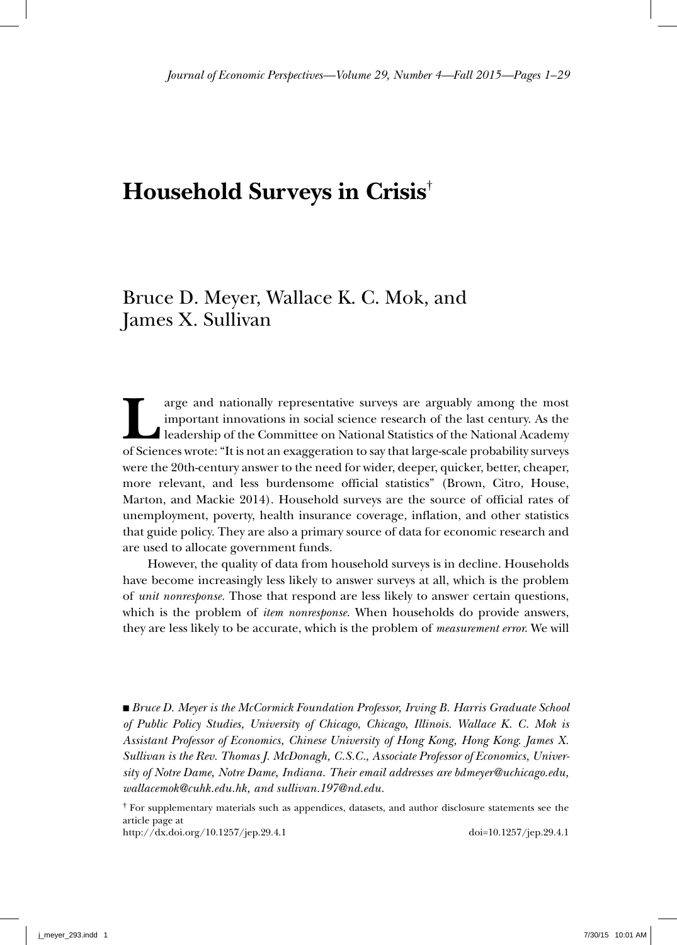# **Household Surveys in Crisis**†

# Bruce D. Meyer, Wallace K. C. Mok, and James X. Sullivan

The arguably among the most important innovations in social science research of the last century. As the leadership of the Committee on National Statistics of the National Academy of Sciences wrote: "It is not an examerati important innovations in social science research of the last century. As the leadership of the Committee on National Statistics of the National Academy of Sciences wrote: "It is not an exaggeration to say that large-scale probability surveys were the 20th-century answer to the need for wider, deeper, quicker, better, cheaper, more relevant, and less burdensome official statistics" (Brown, Citro, House, Marton, and Mackie 2014). Household surveys are the source of official rates of unemployment, poverty, health insurance coverage, inflation, and other statistics that guide policy. They are also a primary source of data for economic research and are used to allocate government funds.

However, the quality of data from household surveys is in decline. Households have become increasingly less likely to answer surveys at all, which is the problem of *unit nonresponse.* Those that respond are less likely to answer certain questions, which is the problem of *item nonresponse*. When households do provide answers, they are less likely to be accurate, which is the problem of *measurement error*. We will

■ *Bruce D. Meyer is the McCormick Foundation Professor, Irving B. Harris Graduate School of Public Policy Studies, University of Chicago, Chicago, Illinois. Wallace K. C. Mok is Assistant Professor of Economics, Chinese University of Hong Kong, Hong Kong. James X. Sullivan is the Rev. Thomas J. McDonagh, C.S.C., Associate Professor of Economics, University of Notre Dame, Notre Dame, Indiana. Their email addresses are bdmeyer@uchicago.edu, wallacemok@cuhk.edu.hk, and sullivan.197@nd.edu.*

† For supplementary materials such as appendices, datasets, and author disclosure statements see the article page at

http://dx.doi.org/10.1257/jep.29.4.1 doi=10.1257/jep.29.4.1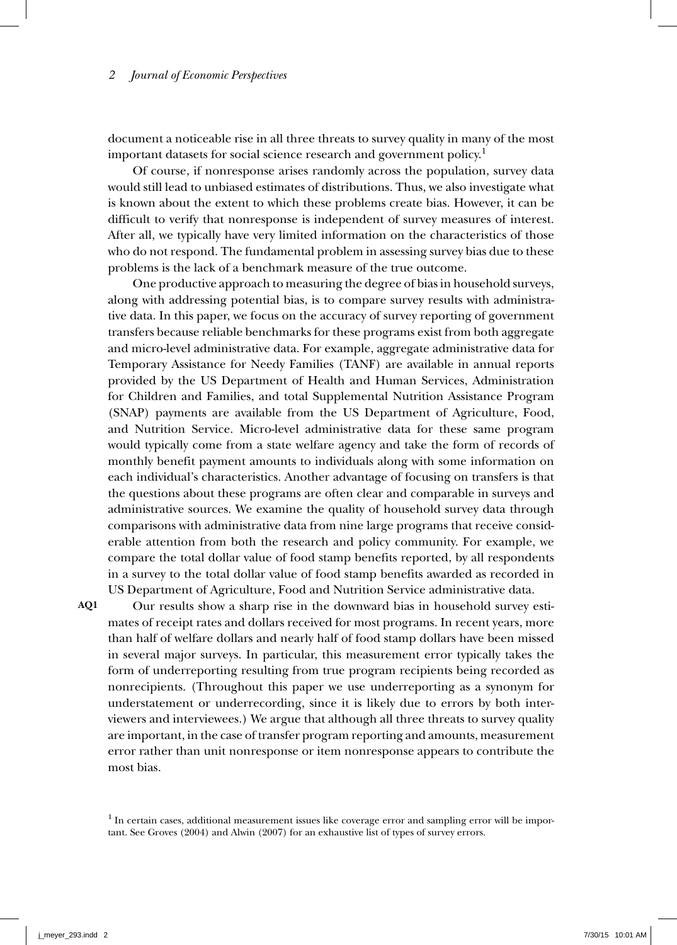document a noticeable rise in all three threats to survey quality in many of the most important datasets for social science research and government policy.<sup>1</sup>

Of course, if nonresponse arises randomly across the population, survey data would still lead to unbiased estimates of distributions. Thus, we also investigate what is known about the extent to which these problems create bias. However, it can be difficult to verify that nonresponse is independent of survey measures of interest. After all, we typically have very limited information on the characteristics of those who do not respond. The fundamental problem in assessing survey bias due to these problems is the lack of a benchmark measure of the true outcome.

One productive approach to measuring the degree of bias in household surveys, along with addressing potential bias, is to compare survey results with administrative data. In this paper, we focus on the accuracy of survey reporting of government transfers because reliable benchmarks for these programs exist from both aggregate and micro-level administrative data. For example, aggregate administrative data for Temporary Assistance for Needy Families (TANF) are available in annual reports provided by the US Department of Health and Human Services, Administration for Children and Families, and total Supplemental Nutrition Assistance Program (SNAP) payments are available from the US Department of Agriculture, Food, and Nutrition Service. Micro-level administrative data for these same program would typically come from a state welfare agency and take the form of records of monthly benefit payment amounts to individuals along with some information on each individual's characteristics. Another advantage of focusing on transfers is that the questions about these programs are often clear and comparable in surveys and administrative sources. We examine the quality of household survey data through comparisons with administrative data from nine large programs that receive considerable attention from both the research and policy community. For example, we compare the total dollar value of food stamp benefits reported, by all respondents in a survey to the total dollar value of food stamp benefits awarded as recorded in US Department of Agriculture, Food and Nutrition Service administrative data.

**AQ1**

Our results show a sharp rise in the downward bias in household survey estimates of receipt rates and dollars received for most programs. In recent years, more than half of welfare dollars and nearly half of food stamp dollars have been missed in several major surveys. In particular, this measurement error typically takes the form of underreporting resulting from true program recipients being recorded as nonrecipients. (Throughout this paper we use underreporting as a synonym for understatement or underrecording, since it is likely due to errors by both interviewers and interviewees.) We argue that although all three threats to survey quality are important, in the case of transfer program reporting and amounts, measurement error rather than unit nonresponse or item nonresponse appears to contribute the most bias.

<sup>1</sup> In certain cases, additional measurement issues like coverage error and sampling error will be important. See Groves (2004) and Alwin (2007) for an exhaustive list of types of survey errors.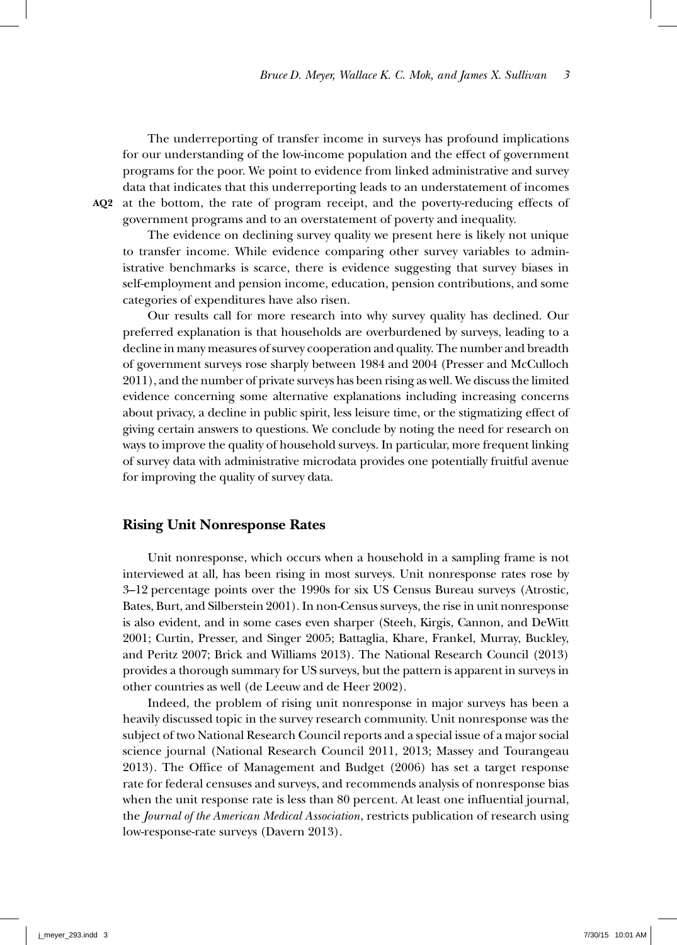The underreporting of transfer income in surveys has profound implications for our understanding of the low-income population and the effect of government programs for the poor. We point to evidence from linked administrative and survey data that indicates that this underreporting leads to an understatement of incomes AQ2 at the bottom, the rate of program receipt, and the poverty-reducing effects of government programs and to an overstatement of poverty and inequality.

The evidence on declining survey quality we present here is likely not unique to transfer income. While evidence comparing other survey variables to administrative benchmarks is scarce, there is evidence suggesting that survey biases in self-employment and pension income, education, pension contributions, and some categories of expenditures have also risen.

Our results call for more research into why survey quality has declined. Our preferred explanation is that households are overburdened by surveys, leading to a decline in many measures of survey cooperation and quality. The number and breadth of government surveys rose sharply between 1984 and 2004 (Presser and McCulloch 2011), and the number of private surveys has been rising as well. We discuss the limited evidence concerning some alternative explanations including increasing concerns about privacy, a decline in public spirit, less leisure time, or the stigmatizing effect of giving certain answers to questions. We conclude by noting the need for research on ways to improve the quality of household surveys. In particular, more frequent linking of survey data with administrative microdata provides one potentially fruitful avenue for improving the quality of survey data.

### **Rising Unit Nonresponse Rates**

Unit nonresponse, which occurs when a household in a sampling frame is not interviewed at all, has been rising in most surveys. Unit nonresponse rates rose by 3–12 percentage points over the 1990s for six US Census Bureau surveys (Atrostic, Bates, Burt, and Silberstein 2001). In non-Census surveys, the rise in unit nonresponse is also evident, and in some cases even sharper (Steeh, Kirgis, Cannon, and DeWitt 2001; Curtin, Presser, and Singer 2005; Battaglia, Khare, Frankel, Murray, Buckley, and Peritz 2007; Brick and Williams 2013). The National Research Council (2013) provides a thorough summary for US surveys, but the pattern is apparent in surveys in other countries as well (de Leeuw and de Heer 2002).

Indeed, the problem of rising unit nonresponse in major surveys has been a heavily discussed topic in the survey research community. Unit nonresponse was the subject of two National Research Council reports and a special issue of a major social science journal (National Research Council 2011, 2013; Massey and Tourangeau 2013). The Office of Management and Budget (2006) has set a target response rate for federal censuses and surveys, and recommends analysis of nonresponse bias when the unit response rate is less than 80 percent. At least one influential journal, the *Journal of the American Medical Association*, restricts publication of research using low-response-rate surveys (Davern 2013).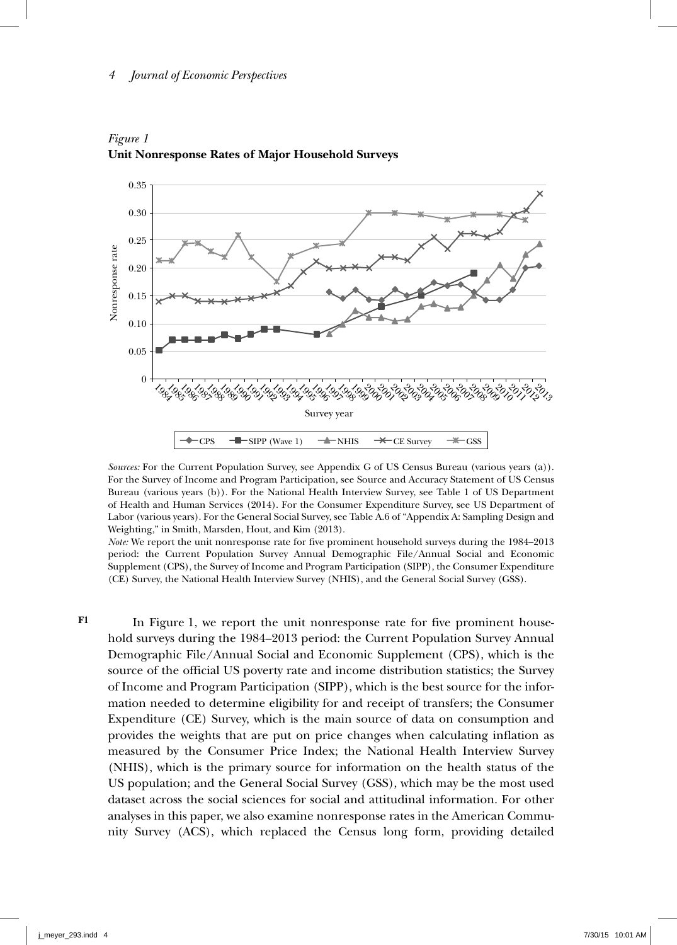



*Sources:* For the Current Population Survey, see Appendix G of US Census Bureau (various years (a)). For the Survey of Income and Program Participation, see Source and Accuracy Statement of US Census Bureau (various years (b)). For the National Health Interview Survey, see Table 1 of US Department of Health and Human Services (2014). For the Consumer Expenditure Survey, see US Department of Labor (various years). For the General Social Survey, see Table A.6 of "Appendix A: Sampling Design and Weighting," in Smith, Marsden, Hout, and Kim (2013).

*Note:* We report the unit nonresponse rate for five prominent household surveys during the 1984–2013 period: the Current Population Survey Annual Demographic File/Annual Social and Economic Supplement (CPS), the Survey of Income and Program Participation (SIPP), the Consumer Expenditure (CE) Survey, the National Health Interview Survey (NHIS), and the General Social Survey (GSS).

**F1**

In Figure 1, we report the unit nonresponse rate for five prominent household surveys during the 1984–2013 period: the Current Population Survey Annual Demographic File/Annual Social and Economic Supplement (CPS), which is the source of the official US poverty rate and income distribution statistics; the Survey of Income and Program Participation (SIPP), which is the best source for the information needed to determine eligibility for and receipt of transfers; the Consumer Expenditure (CE) Survey, which is the main source of data on consumption and provides the weights that are put on price changes when calculating inflation as measured by the Consumer Price Index; the National Health Interview Survey (NHIS), which is the primary source for information on the health status of the US population; and the General Social Survey (GSS), which may be the most used dataset across the social sciences for social and attitudinal information. For other analyses in this paper, we also examine nonresponse rates in the American Community Survey (ACS), which replaced the Census long form, providing detailed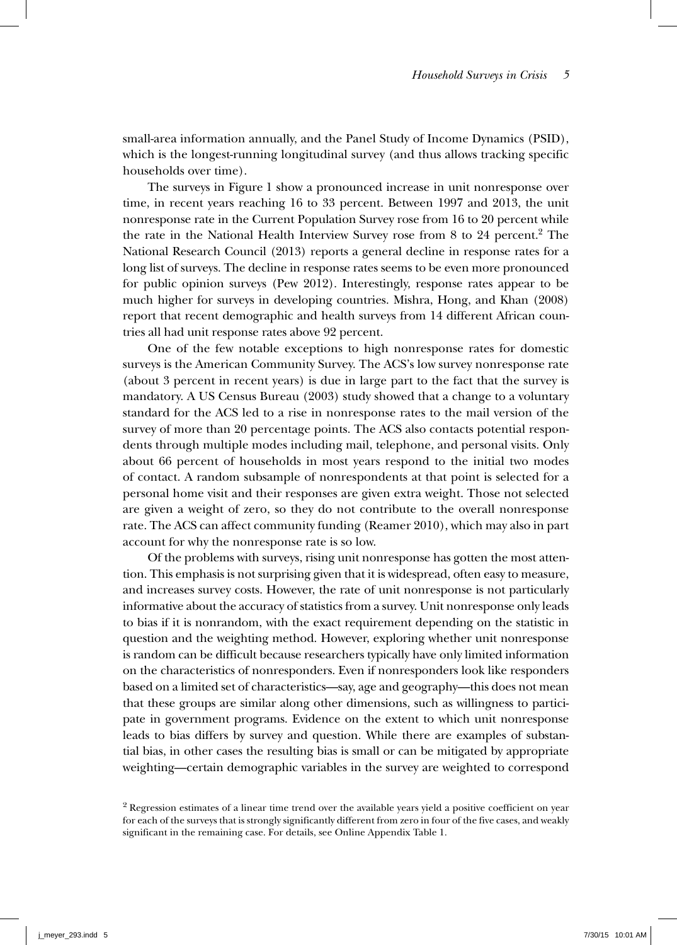small-area information annually, and the Panel Study of Income Dynamics (PSID), which is the longest-running longitudinal survey (and thus allows tracking specific households over time).

The surveys in Figure 1 show a pronounced increase in unit nonresponse over time, in recent years reaching 16 to 33 percent. Between 1997 and 2013, the unit nonresponse rate in the Current Population Survey rose from 16 to 20 percent while the rate in the National Health Interview Survey rose from 8 to 24 percent.<sup>2</sup> The National Research Council (2013) reports a general decline in response rates for a long list of surveys. The decline in response rates seems to be even more pronounced for public opinion surveys (Pew 2012). Interestingly, response rates appear to be much higher for surveys in developing countries. Mishra, Hong, and Khan (2008) report that recent demographic and health surveys from 14 different African countries all had unit response rates above 92 percent.

One of the few notable exceptions to high nonresponse rates for domestic surveys is the American Community Survey. The ACS's low survey nonresponse rate (about 3 percent in recent years) is due in large part to the fact that the survey is mandatory. A US Census Bureau (2003) study showed that a change to a voluntary standard for the ACS led to a rise in nonresponse rates to the mail version of the survey of more than 20 percentage points. The ACS also contacts potential respondents through multiple modes including mail, telephone, and personal visits. Only about 66 percent of households in most years respond to the initial two modes of contact. A random subsample of nonrespondents at that point is selected for a personal home visit and their responses are given extra weight. Those not selected are given a weight of zero, so they do not contribute to the overall nonresponse rate. The ACS can affect community funding (Reamer 2010), which may also in part account for why the nonresponse rate is so low.

Of the problems with surveys, rising unit nonresponse has gotten the most attention. This emphasis is not surprising given that it is widespread, often easy to measure, and increases survey costs. However, the rate of unit nonresponse is not particularly informative about the accuracy of statistics from a survey. Unit nonresponse only leads to bias if it is nonrandom, with the exact requirement depending on the statistic in question and the weighting method. However, exploring whether unit nonresponse is random can be difficult because researchers typically have only limited information on the characteristics of nonresponders. Even if nonresponders look like responders based on a limited set of characteristics—say, age and geography—this does not mean that these groups are similar along other dimensions, such as willingness to participate in government programs. Evidence on the extent to which unit nonresponse leads to bias differs by survey and question. While there are examples of substantial bias, in other cases the resulting bias is small or can be mitigated by appropriate weighting—certain demographic variables in the survey are weighted to correspond

<sup>&</sup>lt;sup>2</sup> Regression estimates of a linear time trend over the available years yield a positive coefficient on year for each of the surveys that is strongly significantly different from zero in four of the five cases, and weakly significant in the remaining case. For details, see Online Appendix Table 1.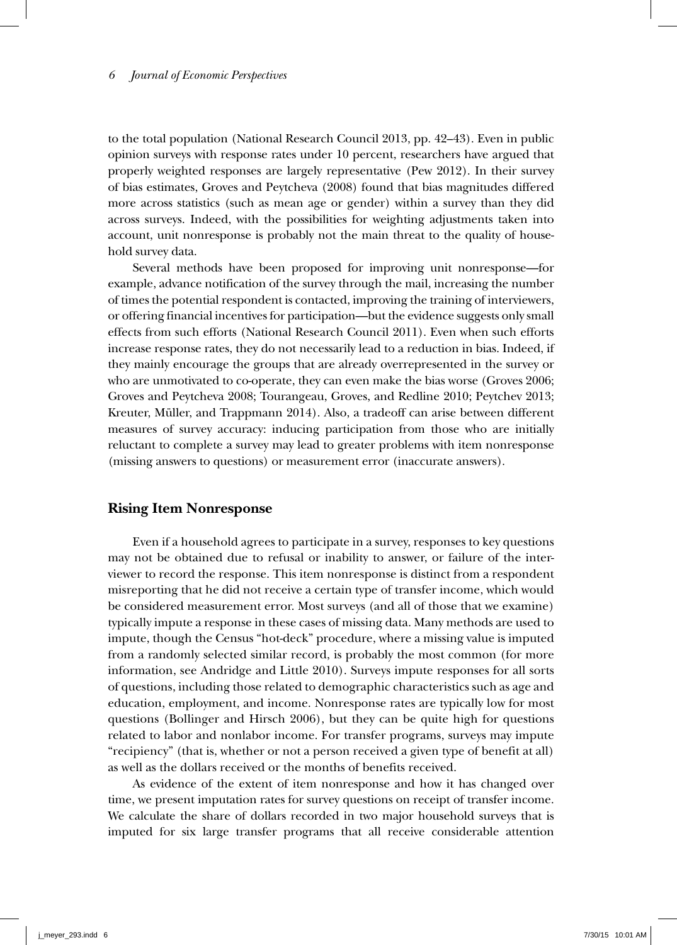to the total population (National Research Council 2013, pp. 42–43). Even in public opinion surveys with response rates under 10 percent, researchers have argued that properly weighted responses are largely representative (Pew 2012). In their survey of bias estimates, Groves and Peytcheva (2008) found that bias magnitudes differed more across statistics (such as mean age or gender) within a survey than they did across surveys. Indeed, with the possibilities for weighting adjustments taken into account, unit nonresponse is probably not the main threat to the quality of household survey data.

Several methods have been proposed for improving unit nonresponse—for example, advance notification of the survey through the mail, increasing the number of times the potential respondent is contacted, improving the training of interviewers, or offering financial incentives for participation—but the evidence suggests only small effects from such efforts (National Research Council 2011). Even when such efforts increase response rates, they do not necessarily lead to a reduction in bias. Indeed, if they mainly encourage the groups that are already overrepresented in the survey or who are unmotivated to co-operate, they can even make the bias worse (Groves 2006; Groves and Peytcheva 2008; Tourangeau, Groves, and Redline 2010; Peytchev 2013; Kreuter, Müller, and Trappmann 2014). Also, a tradeoff can arise between different measures of survey accuracy: inducing participation from those who are initially reluctant to complete a survey may lead to greater problems with item nonresponse (missing answers to questions) or measurement error (inaccurate answers).

### **Rising Item Nonresponse**

Even if a household agrees to participate in a survey, responses to key questions may not be obtained due to refusal or inability to answer, or failure of the interviewer to record the response. This item nonresponse is distinct from a respondent misreporting that he did not receive a certain type of transfer income, which would be considered measurement error. Most surveys (and all of those that we examine) typically impute a response in these cases of missing data. Many methods are used to impute, though the Census "hot-deck" procedure, where a missing value is imputed from a randomly selected similar record, is probably the most common (for more information, see Andridge and Little 2010). Surveys impute responses for all sorts of questions, including those related to demographic characteristics such as age and education, employment, and income. Nonresponse rates are typically low for most questions (Bollinger and Hirsch 2006), but they can be quite high for questions related to labor and nonlabor income. For transfer programs, surveys may impute "recipiency" (that is, whether or not a person received a given type of benefit at all) as well as the dollars received or the months of benefits received.

As evidence of the extent of item nonresponse and how it has changed over time, we present imputation rates for survey questions on receipt of transfer income. We calculate the share of dollars recorded in two major household surveys that is imputed for six large transfer programs that all receive considerable attention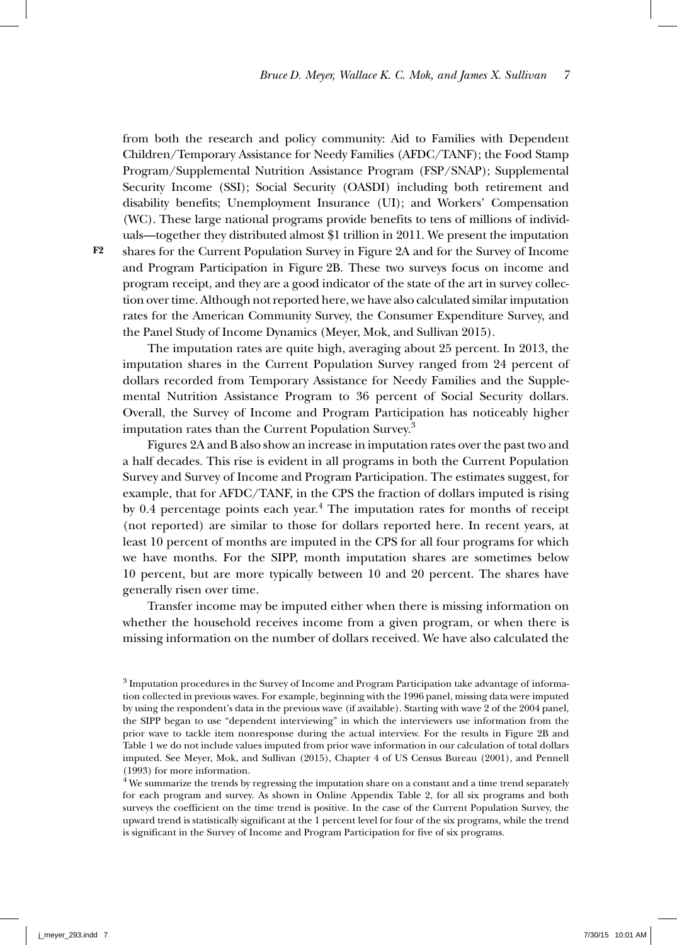from both the research and policy community: Aid to Families with Dependent Children/Temporary Assistance for Needy Families (AFDC/TANF); the Food Stamp Program/Supplemental Nutrition Assistance Program (FSP/SNAP); Supplemental Security Income (SSI); Social Security (OASDI) including both retirement and disability benefits; Unemployment Insurance (UI); and Workers' Compensation (WC). These large national programs provide benefits to tens of millions of individuals—together they distributed almost \$1 trillion in 2011. We present the imputation shares for the Current Population Survey in Figure 2A and for the Survey of Income and Program Participation in Figure 2B. These two surveys focus on income and program receipt, and they are a good indicator of the state of the art in survey collection over time. Although not reported here, we have also calculated similar imputation rates for the American Community Survey, the Consumer Expenditure Survey, and the Panel Study of Income Dynamics (Meyer, Mok, and Sullivan 2015).

The imputation rates are quite high, averaging about 25 percent. In 2013, the imputation shares in the Current Population Survey ranged from 24 percent of dollars recorded from Temporary Assistance for Needy Families and the Supplemental Nutrition Assistance Program to 36 percent of Social Security dollars. Overall, the Survey of Income and Program Participation has noticeably higher imputation rates than the Current Population Survey.<sup>3</sup>

Figures 2A and B also show an increase in imputation rates over the past two and a half decades. This rise is evident in all programs in both the Current Population Survey and Survey of Income and Program Participation. The estimates suggest, for example, that for AFDC/TANF, in the CPS the fraction of dollars imputed is rising by 0.4 percentage points each year. $4$  The imputation rates for months of receipt (not reported) are similar to those for dollars reported here. In recent years, at least 10 percent of months are imputed in the CPS for all four programs for which we have months. For the SIPP, month imputation shares are sometimes below 10 percent, but are more typically between 10 and 20 percent. The shares have generally risen over time.

Transfer income may be imputed either when there is missing information on whether the household receives income from a given program, or when there is missing information on the number of dollars received. We have also calculated the

**F2**

<sup>3</sup> Imputation procedures in the Survey of Income and Program Participation take advantage of information collected in previous waves. For example, beginning with the 1996 panel, missing data were imputed by using the respondent's data in the previous wave (if available). Starting with wave 2 of the 2004 panel, the SIPP began to use "dependent interviewing" in which the interviewers use information from the prior wave to tackle item nonresponse during the actual interview. For the results in Figure 2B and Table 1 we do not include values imputed from prior wave information in our calculation of total dollars imputed. See Meyer, Mok, and Sullivan (2015), Chapter 4 of US Census Bureau (2001), and Pennell (1993) for more information.

 $4$  We summarize the trends by regressing the imputation share on a constant and a time trend separately for each program and survey. As shown in Online Appendix Table 2, for all six programs and both surveys the coefficient on the time trend is positive. In the case of the Current Population Survey, the upward trend is statistically significant at the 1 percent level for four of the six programs, while the trend is significant in the Survey of Income and Program Participation for five of six programs.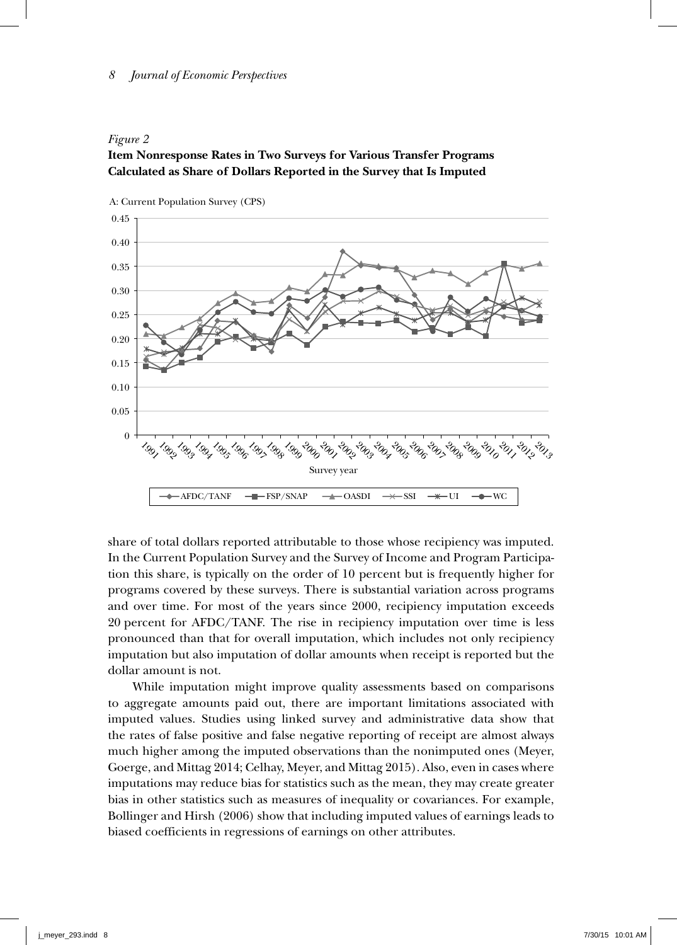#### *Figure 2*

# **Item Nonresponse Rates in Two Surveys for Various Transfer Programs Calculated as Share of Dollars Reported in the Survey that Is Imputed**



share of total dollars reported attributable to those whose recipiency was imputed. In the Current Population Survey and the Survey of Income and Program Participation this share, is typically on the order of 10 percent but is frequently higher for programs covered by these surveys. There is substantial variation across programs and over time. For most of the years since 2000, recipiency imputation exceeds 20 percent for AFDC/TANF. The rise in recipiency imputation over time is less pronounced than that for overall imputation, which includes not only recipiency imputation but also imputation of dollar amounts when receipt is reported but the dollar amount is not.

While imputation might improve quality assessments based on comparisons to aggregate amounts paid out, there are important limitations associated with imputed values. Studies using linked survey and administrative data show that the rates of false positive and false negative reporting of receipt are almost always much higher among the imputed observations than the nonimputed ones (Meyer, Goerge, and Mittag 2014; Celhay, Meyer, and Mittag 2015). Also, even in cases where imputations may reduce bias for statistics such as the mean, they may create greater bias in other statistics such as measures of inequality or covariances. For example, Bollinger and Hirsh (2006) show that including imputed values of earnings leads to biased coefficients in regressions of earnings on other attributes.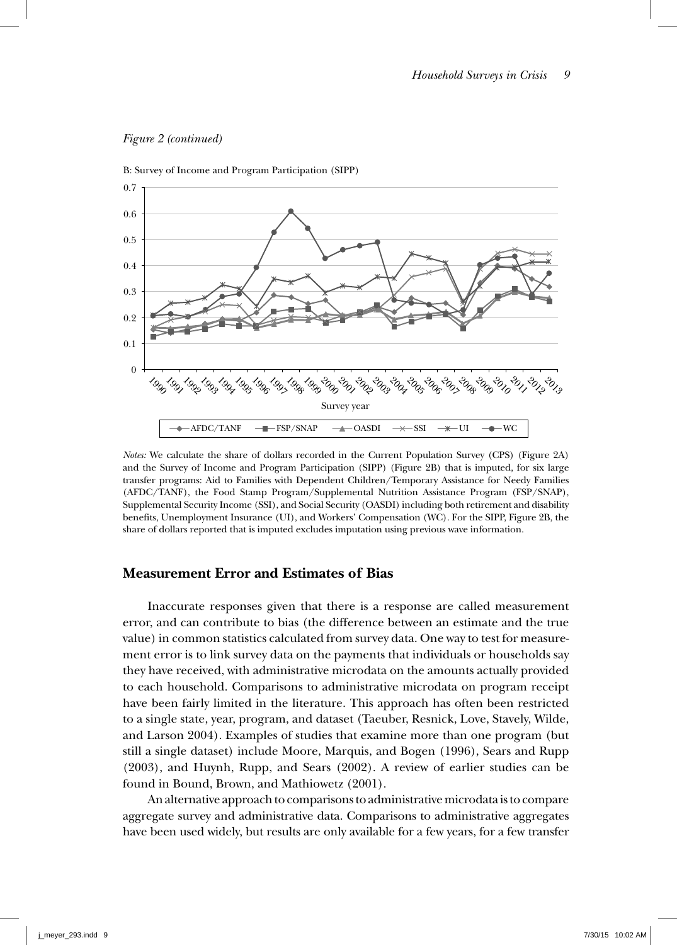

*Figure 2 (continued)*

*Notes:* We calculate the share of dollars recorded in the Current Population Survey (CPS) (Figure 2A) and the Survey of Income and Program Participation (SIPP) (Figure 2B) that is imputed, for six large transfer programs: Aid to Families with Dependent Children/Temporary Assistance for Needy Families (AFDC/TANF), the Food Stamp Program/Supplemental Nutrition Assistance Program (FSP/SNAP), Supplemental Security Income (SSI), and Social Security (OASDI) including both retirement and disability benefits, Unemployment Insurance (UI), and Workers' Compensation (WC). For the SIPP, Figure 2B, the share of dollars reported that is imputed excludes imputation using previous wave information.

# **Measurement Error and Estimates of Bias**

Inaccurate responses given that there is a response are called measurement error, and can contribute to bias (the difference between an estimate and the true value) in common statistics calculated from survey data. One way to test for measurement error is to link survey data on the payments that individuals or households say they have received, with administrative microdata on the amounts actually provided to each household. Comparisons to administrative microdata on program receipt have been fairly limited in the literature. This approach has often been restricted to a single state, year, program, and dataset (Taeuber, Resnick, Love, Stavely, Wilde, and Larson 2004). Examples of studies that examine more than one program (but still a single dataset) include Moore, Marquis, and Bogen (1996), Sears and Rupp (2003), and Huynh, Rupp, and Sears (2002). A review of earlier studies can be found in Bound, Brown, and Mathiowetz (2001).

An alternative approach to comparisons to administrative microdata is to compare aggregate survey and administrative data. Comparisons to administrative aggregates have been used widely, but results are only available for a few years, for a few transfer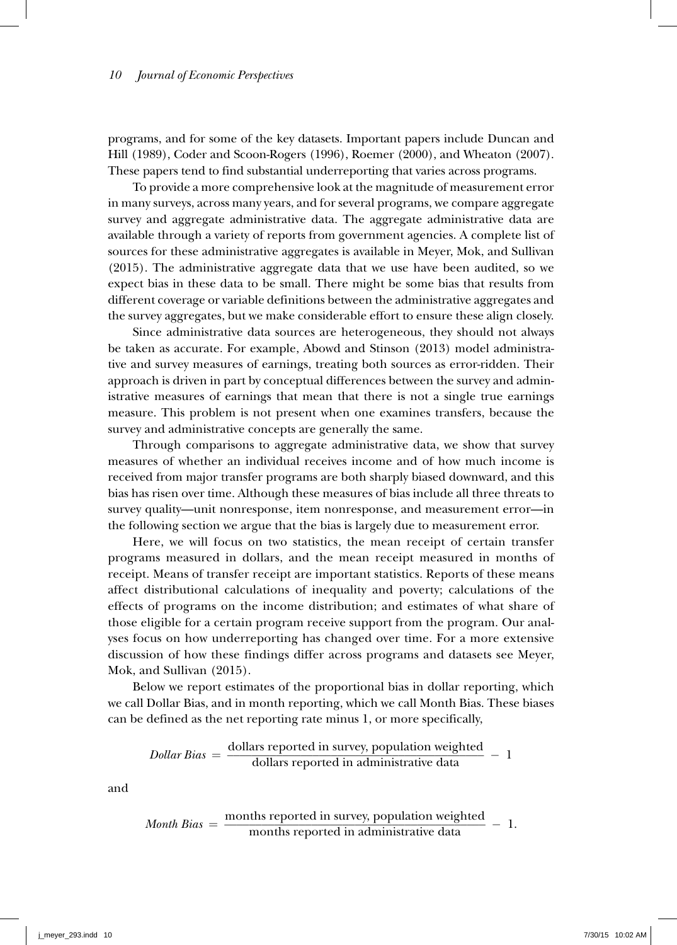programs, and for some of the key datasets. Important papers include Duncan and Hill (1989), Coder and Scoon-Rogers (1996), Roemer (2000), and Wheaton (2007). These papers tend to find substantial underreporting that varies across programs.

To provide a more comprehensive look at the magnitude of measurement error in many surveys, across many years, and for several programs, we compare aggregate survey and aggregate administrative data. The aggregate administrative data are available through a variety of reports from government agencies. A complete list of sources for these administrative aggregates is available in Meyer, Mok, and Sullivan (2015). The administrative aggregate data that we use have been audited, so we expect bias in these data to be small. There might be some bias that results from different coverage or variable definitions between the administrative aggregates and the survey aggregates, but we make considerable effort to ensure these align closely.

Since administrative data sources are heterogeneous, they should not always be taken as accurate. For example, Abowd and Stinson (2013) model administrative and survey measures of earnings, treating both sources as error-ridden. Their approach is driven in part by conceptual differences between the survey and administrative measures of earnings that mean that there is not a single true earnings measure. This problem is not present when one examines transfers, because the survey and administrative concepts are generally the same.

Through comparisons to aggregate administrative data, we show that survey measures of whether an individual receives income and of how much income is received from major transfer programs are both sharply biased downward, and this bias has risen over time. Although these measures of bias include all three threats to survey quality—unit nonresponse, item nonresponse, and measurement error—in the following section we argue that the bias is largely due to measurement error.

Here, we will focus on two statistics, the mean receipt of certain transfer programs measured in dollars, and the mean receipt measured in months of receipt. Means of transfer receipt are important statistics. Reports of these means affect distributional calculations of inequality and poverty; calculations of the effects of programs on the income distribution; and estimates of what share of those eligible for a certain program receive support from the program. Our analyses focus on how underreporting has changed over time. For a more extensive discussion of how these findings differ across programs and datasets see Meyer, Mok, and Sullivan (2015).

Below we report estimates of the proportional bias in dollar reporting, which we call Dollar Bias, and in month reporting, which we call Month Bias. These biases<br>can be defined as the net reporting rate minus 1, or more specifically,<br> $Dollar Bias = \frac{\text{dollars reported in survey, population weighted}}{\text{dollars reported in administrative data}} - 1$ can be defined as the net reporting rate minus 1, or more specifically,

$$
Dollar Bias = \frac{dollars reported in survey, population weighted dollars reported in administrative data} - 1
$$

and

*Month Bias* = 
$$
\frac{\text{months reported in survey, population weighted}}{\text{months reported in administrative data}} - 1.
$$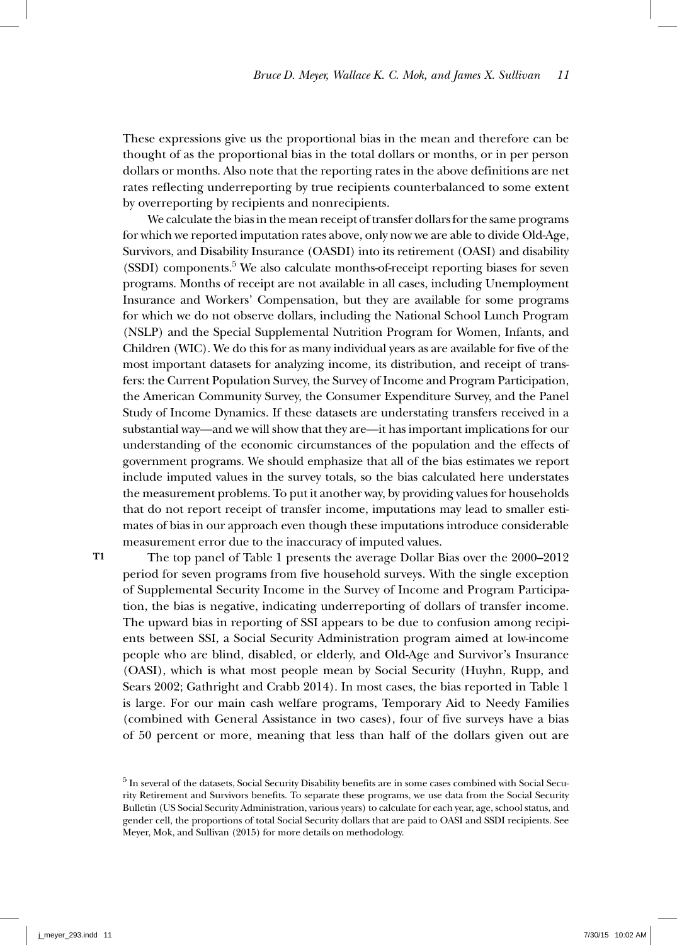These expressions give us the proportional bias in the mean and therefore can be thought of as the proportional bias in the total dollars or months, or in per person dollars or months. Also note that the reporting rates in the above definitions are net rates reflecting underreporting by true recipients counterbalanced to some extent by overreporting by recipients and nonrecipients.

We calculate the bias in the mean receipt of transfer dollars for the same programs for which we reported imputation rates above, only now we are able to divide Old-Age, Survivors, and Disability Insurance (OASDI) into its retirement (OASI) and disability (SSDI) components.<sup>5</sup> We also calculate months-of-receipt reporting biases for seven programs. Months of receipt are not available in all cases, including Unemployment Insurance and Workers' Compensation, but they are available for some programs for which we do not observe dollars, including the National School Lunch Program (NSLP) and the Special Supplemental Nutrition Program for Women, Infants, and Children (WIC). We do this for as many individual years as are available for five of the most important datasets for analyzing income, its distribution, and receipt of transfers: the Current Population Survey, the Survey of Income and Program Participation, the American Community Survey, the Consumer Expenditure Survey, and the Panel Study of Income Dynamics. If these datasets are understating transfers received in a substantial way—and we will show that they are—it has important implications for our understanding of the economic circumstances of the population and the effects of government programs. We should emphasize that all of the bias estimates we report include imputed values in the survey totals, so the bias calculated here understates the measurement problems. To put it another way, by providing values for households that do not report receipt of transfer income, imputations may lead to smaller estimates of bias in our approach even though these imputations introduce considerable measurement error due to the inaccuracy of imputed values.

**T1**

The top panel of Table 1 presents the average Dollar Bias over the 2000–2012 period for seven programs from five household surveys. With the single exception of Supplemental Security Income in the Survey of Income and Program Participation, the bias is negative, indicating underreporting of dollars of transfer income. The upward bias in reporting of SSI appears to be due to confusion among recipients between SSI, a Social Security Administration program aimed at low-income people who are blind, disabled, or elderly, and Old-Age and Survivor's Insurance (OASI), which is what most people mean by Social Security (Huyhn, Rupp, and Sears 2002; Gathright and Crabb 2014). In most cases, the bias reported in Table 1 is large. For our main cash welfare programs, Temporary Aid to Needy Families (combined with General Assistance in two cases), four of five surveys have a bias of 50 percent or more, meaning that less than half of the dollars given out are

<sup>5</sup> In several of the datasets, Social Security Disability benefits are in some cases combined with Social Security Retirement and Survivors benefits. To separate these programs, we use data from the Social Security Bulletin (US Social Security Administration, various years) to calculate for each year, age, school status, and gender cell, the proportions of total Social Security dollars that are paid to OASI and SSDI recipients. See Meyer, Mok, and Sullivan (2015) for more details on methodology.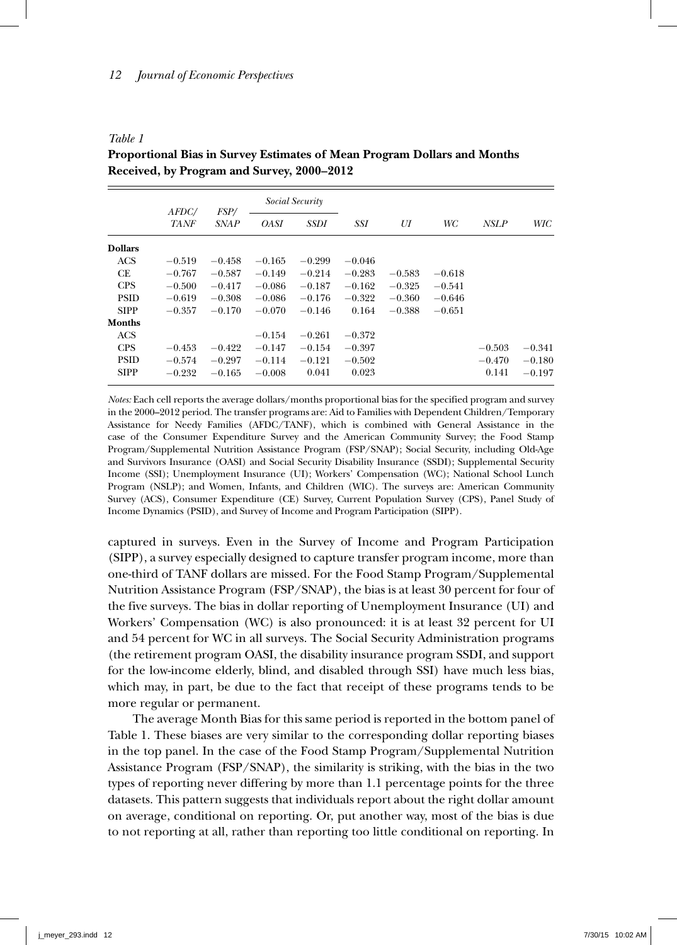*Table 1*

|                | <i>AFDC/</i> | <i>FSP</i> / | Social Security |          |          |          |          |             |          |
|----------------|--------------|--------------|-----------------|----------|----------|----------|----------|-------------|----------|
|                | <b>TANF</b>  | <b>SNAP</b>  | <b>OASI</b>     | SSDI     | SSI      | UI       | WC       | <b>NSLP</b> | WIC      |
| <b>Dollars</b> |              |              |                 |          |          |          |          |             |          |
| <b>ACS</b>     | $-0.519$     | $-0.458$     | $-0.165$        | $-0.299$ | $-0.046$ |          |          |             |          |
| CE             | $-0.767$     | $-0.587$     | $-0.149$        | $-0.214$ | $-0.283$ | $-0.583$ | $-0.618$ |             |          |
| <b>CPS</b>     | $-0.500$     | $-0.417$     | $-0.086$        | $-0.187$ | $-0.162$ | $-0.325$ | $-0.541$ |             |          |
| <b>PSID</b>    | $-0.619$     | $-0.308$     | $-0.086$        | $-0.176$ | $-0.322$ | $-0.360$ | $-0.646$ |             |          |
| <b>SIPP</b>    | $-0.357$     | $-0.170$     | $-0.070$        | $-0.146$ | 0.164    | $-0.388$ | $-0.651$ |             |          |
| <b>Months</b>  |              |              |                 |          |          |          |          |             |          |
| <b>ACS</b>     |              |              | $-0.154$        | $-0.261$ | $-0.372$ |          |          |             |          |
| <b>CPS</b>     | $-0.453$     | $-0.422$     | $-0.147$        | $-0.154$ | $-0.397$ |          |          | $-0.503$    | $-0.341$ |
| <b>PSID</b>    | $-0.574$     | $-0.297$     | $-0.114$        | $-0.121$ | $-0.502$ |          |          | $-0.470$    | $-0.180$ |
| <b>SIPP</b>    | $-0.232$     | $-0.165$     | $-0.008$        | 0.041    | 0.023    |          |          | 0.141       | $-0.197$ |

**Proportional Bias in Survey Estimates of Mean Program Dollars and Months Received, by Program and Survey, 2000–2012**

*Notes:* Each cell reports the average dollars/months proportional bias for the specified program and survey in the 2000–2012 period. The transfer programs are: Aid to Families with Dependent Children/Temporary Assistance for Needy Families (AFDC/TANF), which is combined with General Assistance in the case of the Consumer Expenditure Survey and the American Community Survey; the Food Stamp Program/Supplemental Nutrition Assistance Program (FSP/SNAP); Social Security, including Old-Age and Survivors Insurance (OASI) and Social Security Disability Insurance (SSDI); Supplemental Security Income (SSI); Unemployment Insurance (UI); Workers' Compensation (WC); National School Lunch Program (NSLP); and Women, Infants, and Children (WIC). The surveys are: American Community Survey (ACS), Consumer Expenditure (CE) Survey, Current Population Survey (CPS), Panel Study of Income Dynamics (PSID), and Survey of Income and Program Participation (SIPP).

captured in surveys. Even in the Survey of Income and Program Participation (SIPP), a survey especially designed to capture transfer program income, more than one-third of TANF dollars are missed. For the Food Stamp Program/Supplemental Nutrition Assistance Program (FSP/SNAP), the bias is at least 30 percent for four of the five surveys. The bias in dollar reporting of Unemployment Insurance (UI) and Workers' Compensation (WC) is also pronounced: it is at least 32 percent for UI and 54 percent for WC in all surveys. The Social Security Administration programs (the retirement program OASI, the disability insurance program SSDI, and support for the low-income elderly, blind, and disabled through SSI) have much less bias, which may, in part, be due to the fact that receipt of these programs tends to be more regular or permanent.

The average Month Bias for this same period is reported in the bottom panel of Table 1. These biases are very similar to the corresponding dollar reporting biases in the top panel. In the case of the Food Stamp Program/Supplemental Nutrition Assistance Program (FSP/SNAP), the similarity is striking, with the bias in the two types of reporting never differing by more than 1.1 percentage points for the three datasets. This pattern suggests that individuals report about the right dollar amount on average, conditional on reporting. Or, put another way, most of the bias is due to not reporting at all, rather than reporting too little conditional on reporting. In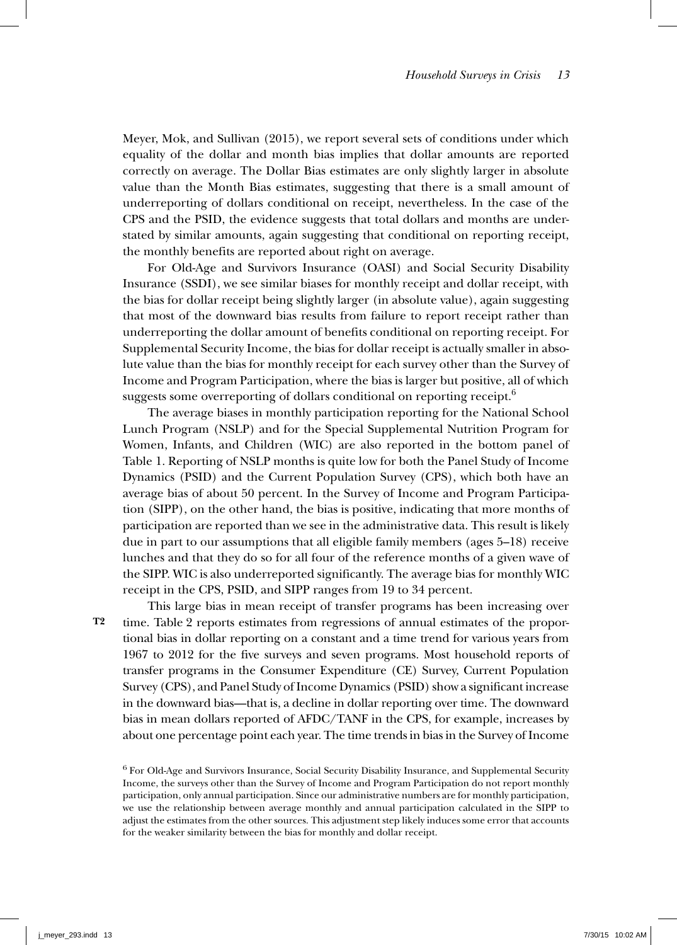Meyer, Mok, and Sullivan (2015), we report several sets of conditions under which equality of the dollar and month bias implies that dollar amounts are reported correctly on average. The Dollar Bias estimates are only slightly larger in absolute value than the Month Bias estimates, suggesting that there is a small amount of underreporting of dollars conditional on receipt, nevertheless. In the case of the CPS and the PSID, the evidence suggests that total dollars and months are understated by similar amounts, again suggesting that conditional on reporting receipt, the monthly benefits are reported about right on average.

For Old-Age and Survivors Insurance (OASI) and Social Security Disability Insurance (SSDI), we see similar biases for monthly receipt and dollar receipt, with the bias for dollar receipt being slightly larger (in absolute value), again suggesting that most of the downward bias results from failure to report receipt rather than underreporting the dollar amount of benefits conditional on reporting receipt. For Supplemental Security Income, the bias for dollar receipt is actually smaller in absolute value than the bias for monthly receipt for each survey other than the Survey of Income and Program Participation, where the bias is larger but positive, all of which suggests some overreporting of dollars conditional on reporting receipt.<sup>6</sup>

The average biases in monthly participation reporting for the National School Lunch Program (NSLP) and for the Special Supplemental Nutrition Program for Women, Infants, and Children (WIC) are also reported in the bottom panel of Table 1. Reporting of NSLP months is quite low for both the Panel Study of Income Dynamics (PSID) and the Current Population Survey (CPS), which both have an average bias of about 50 percent. In the Survey of Income and Program Participation (SIPP), on the other hand, the bias is positive, indicating that more months of participation are reported than we see in the administrative data. This result is likely due in part to our assumptions that all eligible family members (ages 5–18) receive lunches and that they do so for all four of the reference months of a given wave of the SIPP. WIC is also underreported significantly. The average bias for monthly WIC receipt in the CPS, PSID, and SIPP ranges from 19 to 34 percent.

**T2**

This large bias in mean receipt of transfer programs has been increasing over time. Table 2 reports estimates from regressions of annual estimates of the proportional bias in dollar reporting on a constant and a time trend for various years from 1967 to 2012 for the five surveys and seven programs. Most household reports of transfer programs in the Consumer Expenditure (CE) Survey, Current Population Survey (CPS), and Panel Study of Income Dynamics (PSID) show a significant increase in the downward bias—that is, a decline in dollar reporting over time. The downward bias in mean dollars reported of AFDC/TANF in the CPS, for example, increases by about one percentage point each year. The time trends in bias in the Survey of Income

<sup>6</sup> For Old-Age and Survivors Insurance, Social Security Disability Insurance, and Supplemental Security Income, the surveys other than the Survey of Income and Program Participation do not report monthly participation, only annual participation. Since our administrative numbers are for monthly participation, we use the relationship between average monthly and annual participation calculated in the SIPP to adjust the estimates from the other sources. This adjustment step likely induces some error that accounts for the weaker similarity between the bias for monthly and dollar receipt.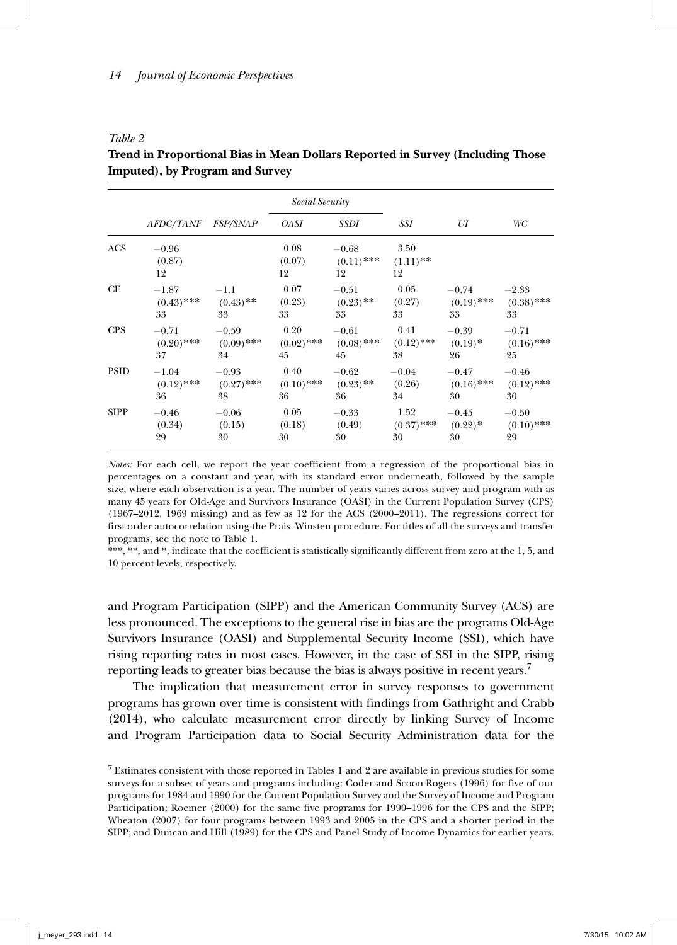*Table 2*

|             |                         |                 | Social Security      |                               |                           |              |              |
|-------------|-------------------------|-----------------|----------------------|-------------------------------|---------------------------|--------------|--------------|
|             | <i>AFDC/TANF</i>        | <i>FSP/SNAP</i> | <b>OASI</b>          | SSDI                          | SSI                       | UI           | WC           |
| <b>ACS</b>  | $-0.96$<br>(0.87)<br>12 |                 | 0.08<br>(0.07)<br>12 | $-0.68$<br>$(0.11)$ ***<br>12 | 3.50<br>$(1.11)$ **<br>12 |              |              |
| <b>CE</b>   | $-1.87$                 | $-1.1$          | 0.07                 | $-0.51$                       | 0.05                      | $-0.74$      | $-2.33$      |
|             | $(0.43)$ ***            | $(0.43)$ **     | (0.23)               | $(0.23)$ **                   | (0.27)                    | $(0.19)$ *** | $(0.38)$ *** |
|             | 33                      | 33              | 33                   | 33                            | 33                        | 33           | 33           |
| <b>CPS</b>  | $-0.71$                 | $-0.59$         | 0.20                 | $-0.61$                       | 0.41                      | $-0.39$      | $-0.71$      |
|             | $(0.20)$ ***            | $(0.09)$ ***    | $(0.02)$ ***         | $(0.08)$ ***                  | $(0.12)$ ***              | $(0.19)^*$   | $(0.16)$ *** |
|             | 37                      | 34              | 45                   | 45                            | 38                        | 26           | 25           |
| <b>PSID</b> | $-1.04$                 | $-0.93$         | 0.40                 | $-0.62$                       | $-0.04$                   | $-0.47$      | $-0.46$      |
|             | $(0.12)$ ***            | $(0.27)$ ***    | $(0.10)$ ***         | $(0.23)$ **                   | (0.26)                    | $(0.16)$ *** | $(0.12)$ *** |
|             | 36                      | 38              | 36                   | 36                            | 34                        | 30           | 30           |
| <b>SIPP</b> | $-0.46$                 | $-0.06$         | 0.05                 | $-0.33$                       | 1.52                      | $-0.45$      | $-0.50$      |
|             | (0.34)                  | (0.15)          | (0.18)               | (0.49)                        | $(0.37)$ ***              | $(0.22)^*$   | $(0.10)$ *** |
|             | 29                      | 30              | 30                   | 30                            | 30                        | 30           | 29           |

**Trend in Proportional Bias in Mean Dollars Reported in Survey (Including Those Imputed), by Program and Survey**

*Notes:* For each cell, we report the year coefficient from a regression of the proportional bias in percentages on a constant and year, with its standard error underneath, followed by the sample size, where each observation is a year. The number of years varies across survey and program with as many 45 years for Old-Age and Survivors Insurance (OASI) in the Current Population Survey (CPS) (1967–2012, 1969 missing) and as few as 12 for the ACS (2000–2011). The regressions correct for first-order autocorrelation using the Prais–Winsten procedure. For titles of all the surveys and transfer programs, see the note to Table 1.

\*\*\*, \*\*, and \*, indicate that the coefficient is statistically significantly different from zero at the 1, 5, and 10 percent levels, respectively.

and Program Participation (SIPP) and the American Community Survey (ACS) are less pronounced. The exceptions to the general rise in bias are the programs Old-Age Survivors Insurance (OASI) and Supplemental Security Income (SSI), which have rising reporting rates in most cases. However, in the case of SSI in the SIPP, rising reporting leads to greater bias because the bias is always positive in recent years.<sup>7</sup>

The implication that measurement error in survey responses to government programs has grown over time is consistent with findings from Gathright and Crabb (2014), who calculate measurement error directly by linking Survey of Income and Program Participation data to Social Security Administration data for the

<sup>7</sup> Estimates consistent with those reported in Tables 1 and 2 are available in previous studies for some surveys for a subset of years and programs including: Coder and Scoon-Rogers (1996) for five of our programs for 1984 and 1990 for the Current Population Survey and the Survey of Income and Program Participation; Roemer (2000) for the same five programs for 1990–1996 for the CPS and the SIPP; Wheaton (2007) for four programs between 1993 and 2005 in the CPS and a shorter period in the SIPP; and Duncan and Hill (1989) for the CPS and Panel Study of Income Dynamics for earlier years.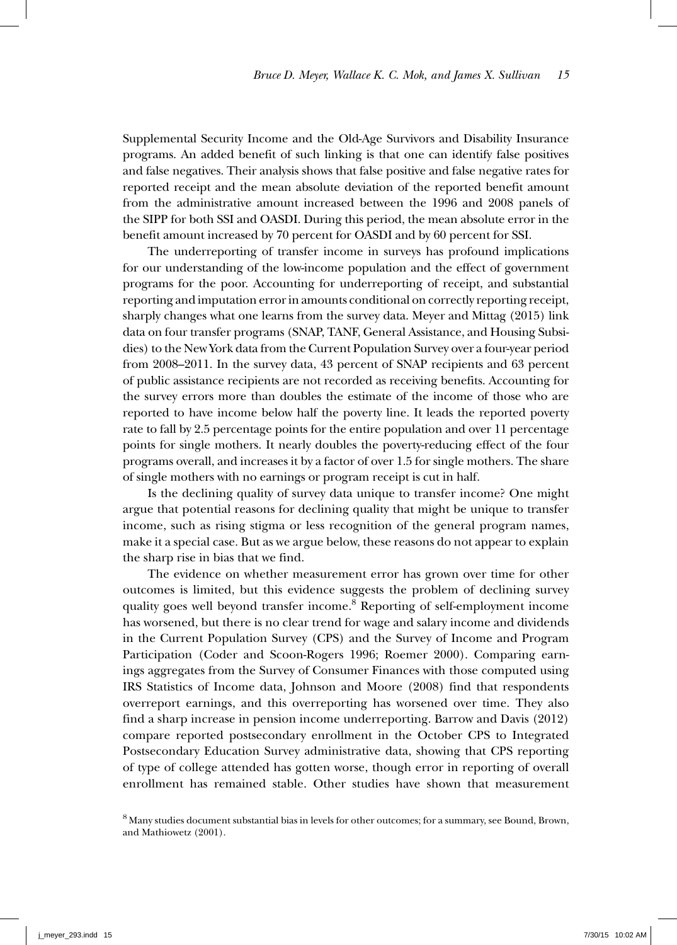Supplemental Security Income and the Old-Age Survivors and Disability Insurance programs. An added benefit of such linking is that one can identify false positives and false negatives. Their analysis shows that false positive and false negative rates for reported receipt and the mean absolute deviation of the reported benefit amount from the administrative amount increased between the 1996 and 2008 panels of the SIPP for both SSI and OASDI. During this period, the mean absolute error in the benefit amount increased by 70 percent for OASDI and by 60 percent for SSI.

The underreporting of transfer income in surveys has profound implications for our understanding of the low-income population and the effect of government programs for the poor. Accounting for underreporting of receipt, and substantial reporting and imputation error in amounts conditional on correctly reporting receipt, sharply changes what one learns from the survey data. Meyer and Mittag (2015) link data on four transfer programs (SNAP, TANF, General Assistance, and Housing Subsidies) to the New York data from the Current Population Survey over a four-year period from 2008–2011. In the survey data, 43 percent of SNAP recipients and 63 percent of public assistance recipients are not recorded as receiving benefits. Accounting for the survey errors more than doubles the estimate of the income of those who are reported to have income below half the poverty line. It leads the reported poverty rate to fall by 2.5 percentage points for the entire population and over 11 percentage points for single mothers. It nearly doubles the poverty-reducing effect of the four programs overall, and increases it by a factor of over 1.5 for single mothers. The share of single mothers with no earnings or program receipt is cut in half.

Is the declining quality of survey data unique to transfer income? One might argue that potential reasons for declining quality that might be unique to transfer income, such as rising stigma or less recognition of the general program names, make it a special case. But as we argue below, these reasons do not appear to explain the sharp rise in bias that we find.

The evidence on whether measurement error has grown over time for other outcomes is limited, but this evidence suggests the problem of declining survey quality goes well beyond transfer income.<sup>8</sup> Reporting of self-employment income has worsened, but there is no clear trend for wage and salary income and dividends in the Current Population Survey (CPS) and the Survey of Income and Program Participation (Coder and Scoon-Rogers 1996; Roemer 2000). Comparing earnings aggregates from the Survey of Consumer Finances with those computed using IRS Statistics of Income data, Johnson and Moore (2008) find that respondents overreport earnings, and this overreporting has worsened over time. They also find a sharp increase in pension income underreporting. Barrow and Davis (2012) compare reported postsecondary enrollment in the October CPS to Integrated Postsecondary Education Survey administrative data, showing that CPS reporting of type of college attended has gotten worse, though error in reporting of overall enrollment has remained stable. Other studies have shown that measurement

8 Many studies document substantial bias in levels for other outcomes; for a summary, see Bound, Brown, and Mathiowetz (2001).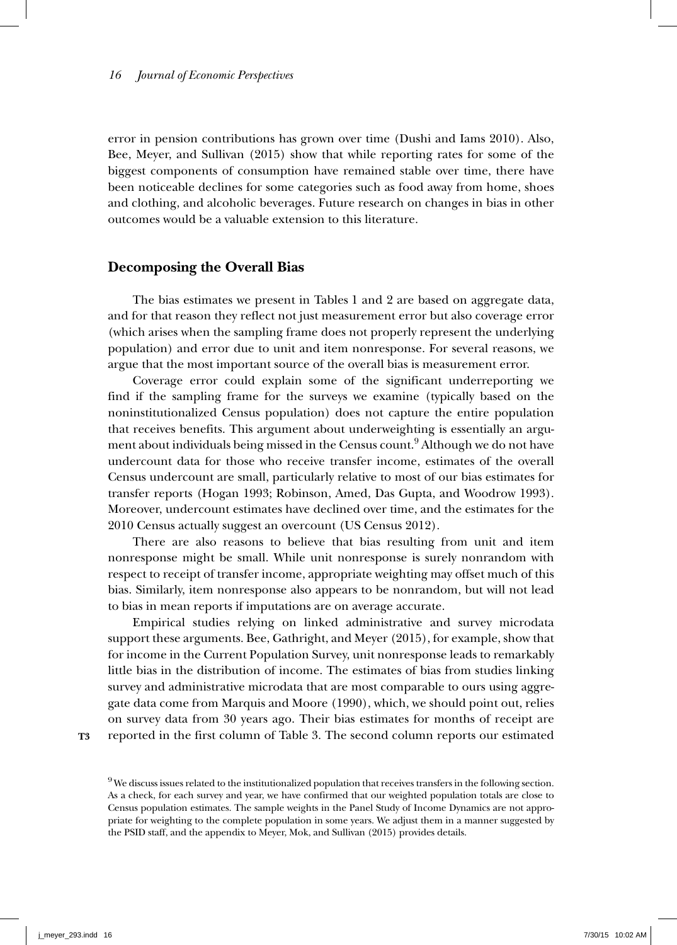error in pension contributions has grown over time (Dushi and Iams 2010). Also, Bee, Meyer, and Sullivan (2015) show that while reporting rates for some of the biggest components of consumption have remained stable over time, there have been noticeable declines for some categories such as food away from home, shoes and clothing, and alcoholic beverages. Future research on changes in bias in other outcomes would be a valuable extension to this literature.

# **Decomposing the Overall Bias**

The bias estimates we present in Tables 1 and 2 are based on aggregate data, and for that reason they reflect not just measurement error but also coverage error (which arises when the sampling frame does not properly represent the underlying population) and error due to unit and item nonresponse. For several reasons, we argue that the most important source of the overall bias is measurement error.

Coverage error could explain some of the significant underreporting we find if the sampling frame for the surveys we examine (typically based on the noninstitutionalized Census population) does not capture the entire population that receives benefits. This argument about underweighting is essentially an argument about individuals being missed in the Census count. $^9$  Although we do not have undercount data for those who receive transfer income, estimates of the overall Census undercount are small, particularly relative to most of our bias estimates for transfer reports (Hogan 1993; Robinson, Amed, Das Gupta, and Woodrow 1993). Moreover, undercount estimates have declined over time, and the estimates for the 2010 Census actually suggest an overcount (US Census 2012).

There are also reasons to believe that bias resulting from unit and item nonresponse might be small. While unit nonresponse is surely nonrandom with respect to receipt of transfer income, appropriate weighting may offset much of this bias. Similarly, item nonresponse also appears to be nonrandom, but will not lead to bias in mean reports if imputations are on average accurate.

Empirical studies relying on linked administrative and survey microdata support these arguments. Bee, Gathright, and Meyer (2015), for example, show that for income in the Current Population Survey, unit nonresponse leads to remarkably little bias in the distribution of income. The estimates of bias from studies linking survey and administrative microdata that are most comparable to ours using aggregate data come from Marquis and Moore (1990), which, we should point out, relies on survey data from 30 years ago. Their bias estimates for months of receipt are reported in the first column of Table 3. The second column reports our estimated

**T3**

<sup>&</sup>lt;sup>9</sup> We discuss issues related to the institutionalized population that receives transfers in the following section. As a check, for each survey and year, we have confirmed that our weighted population totals are close to Census population estimates. The sample weights in the Panel Study of Income Dynamics are not appropriate for weighting to the complete population in some years. We adjust them in a manner suggested by the PSID staff, and the appendix to Meyer, Mok, and Sullivan (2015) provides details.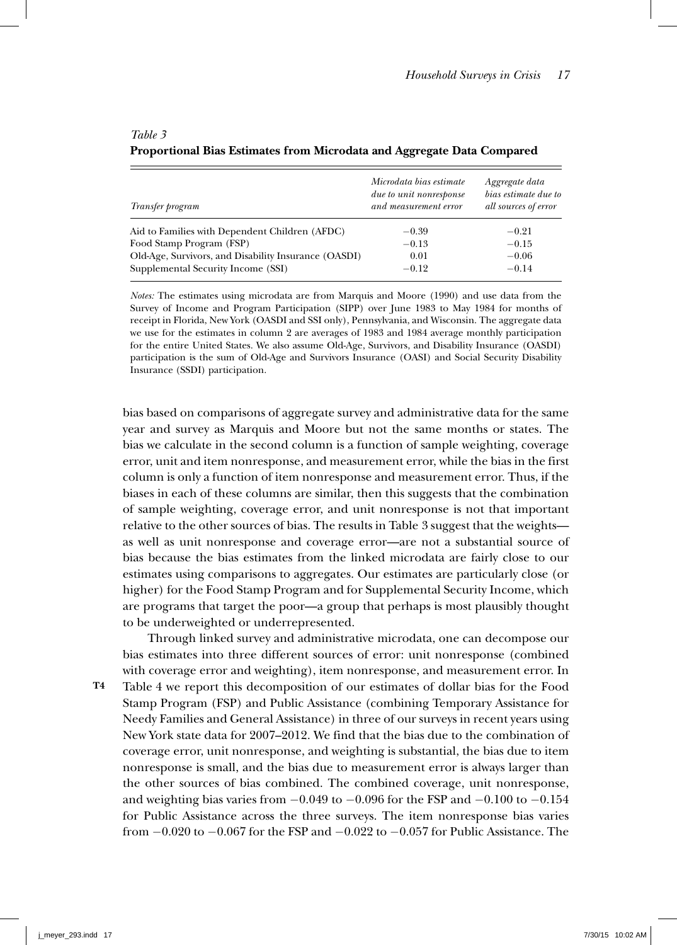| Transfer program                                     | Microdata bias estimate<br>due to unit nonresponse<br>and measurement error | Aggregate data<br>bias estimate due to<br>all sources of error |
|------------------------------------------------------|-----------------------------------------------------------------------------|----------------------------------------------------------------|
| Aid to Families with Dependent Children (AFDC)       | $-0.39$                                                                     | $-0.21$                                                        |
| Food Stamp Program (FSP)                             | $-0.13$                                                                     | $-0.15$                                                        |
| Old-Age, Survivors, and Disability Insurance (OASDI) | 0.01                                                                        | $-0.06$                                                        |
| Supplemental Security Income (SSI)                   | $-0.12$                                                                     | $-0.14$                                                        |

# **Proportional Bias Estimates from Microdata and Aggregate Data Compared**

*Notes:* The estimates using microdata are from Marquis and Moore (1990) and use data from the Survey of Income and Program Participation (SIPP) over June 1983 to May 1984 for months of receipt in Florida, New York (OASDI and SSI only), Pennsylvania, and Wisconsin. The aggregate data we use for the estimates in column 2 are averages of 1983 and 1984 average monthly participation for the entire United States. We also assume Old-Age, Survivors, and Disability Insurance (OASDI) participation is the sum of Old-Age and Survivors Insurance (OASI) and Social Security Disability Insurance (SSDI) participation.

bias based on comparisons of aggregate survey and administrative data for the same year and survey as Marquis and Moore but not the same months or states. The bias we calculate in the second column is a function of sample weighting, coverage error, unit and item nonresponse, and measurement error, while the bias in the first column is only a function of item nonresponse and measurement error. Thus, if the biases in each of these columns are similar, then this suggests that the combination of sample weighting, coverage error, and unit nonresponse is not that important relative to the other sources of bias. The results in Table 3 suggest that the weights as well as unit nonresponse and coverage error—are not a substantial source of bias because the bias estimates from the linked microdata are fairly close to our estimates using comparisons to aggregates. Our estimates are particularly close (or higher) for the Food Stamp Program and for Supplemental Security Income, which are programs that target the poor—a group that perhaps is most plausibly thought to be underweighted or underrepresented.

Through linked survey and administrative microdata, one can decompose our bias estimates into three different sources of error: unit nonresponse (combined with coverage error and weighting), item nonresponse, and measurement error. In Table 4 we report this decomposition of our estimates of dollar bias for the Food Stamp Program (FSP) and Public Assistance (combining Temporary Assistance for Needy Families and General Assistance) in three of our surveys in recent years using New York state data for 2007–2012. We find that the bias due to the combination of coverage error, unit nonresponse, and weighting is substantial, the bias due to item nonresponse is small, and the bias due to measurement error is always larger than the other sources of bias combined. The combined coverage, unit nonresponse, and weighting bias varies from  $-0.049$  to  $-0.096$  for the FSP and  $-0.100$  to  $-0.154$ for Public Assistance across the three surveys. The item nonresponse bias varies from −0.020 to −0.067 for the FSP and −0.022 to −0.057 for Public Assistance. The

*Table 3*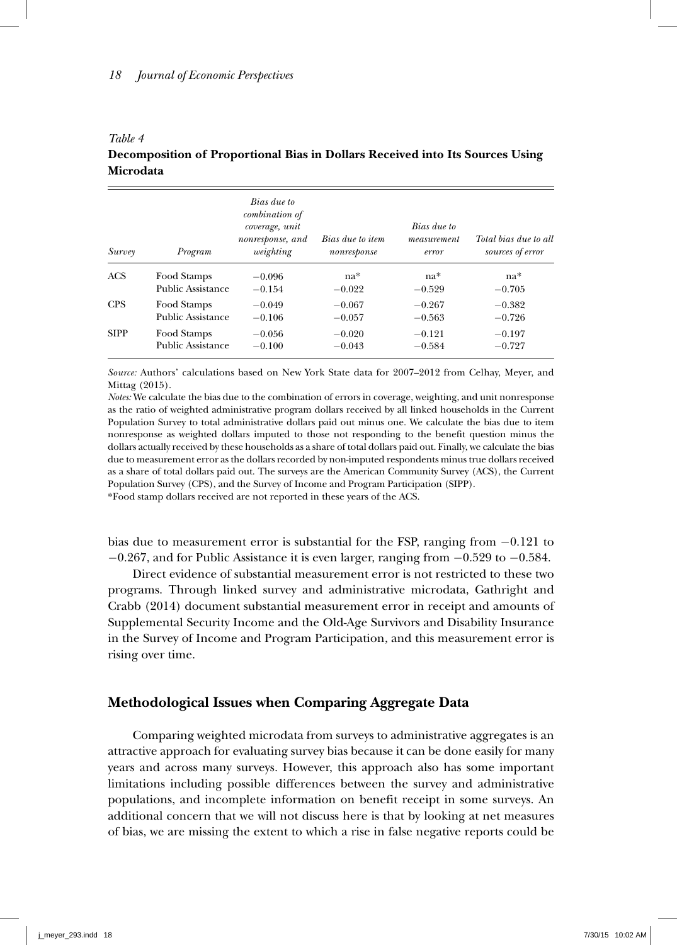#### *Table 4*

# **Decomposition of Proportional Bias in Dollars Received into Its Sources Using Microdata**

| Survey      | Program           | Bias due to<br>combination of<br>coverage, unit<br>nonresponse, and<br>weighting | Bias due to item<br>nonresponse | Bias due to<br>measurement<br>error | Total bias due to all<br>sources of error |  |
|-------------|-------------------|----------------------------------------------------------------------------------|---------------------------------|-------------------------------------|-------------------------------------------|--|
| ACS         | Food Stamps       | $-0.096$                                                                         | $na*$                           | $na*$                               | $na*$                                     |  |
|             | Public Assistance | $-0.154$                                                                         | $-0.022$                        | $-0.529$                            | $-0.705$                                  |  |
| <b>CPS</b>  | Food Stamps       | $-0.049$                                                                         | $-0.067$                        | $-0.267$                            | $-0.382$                                  |  |
|             | Public Assistance | $-0.106$                                                                         | $-0.057$                        | $-0.563$                            | $-0.726$                                  |  |
| <b>SIPP</b> | Food Stamps       | $-0.056$                                                                         | $-0.020$                        | $-0.121$                            | $-0.197$                                  |  |
|             | Public Assistance | $-0.100$                                                                         | $-0.043$                        | $-0.584$                            | $-0.727$                                  |  |

*Source:* Authors' calculations based on New York State data for 2007–2012 from Celhay, Meyer, and Mittag (2015).

*Notes:* We calculate the bias due to the combination of errors in coverage, weighting, and unit nonresponse as the ratio of weighted administrative program dollars received by all linked households in the Current Population Survey to total administrative dollars paid out minus one. We calculate the bias due to item nonresponse as weighted dollars imputed to those not responding to the benefit question minus the dollars actually received by these households as a share of total dollars paid out. Finally, we calculate the bias due to measurement error as the dollars recorded by non-imputed respondents minus true dollars received as a share of total dollars paid out. The surveys are the American Community Survey (ACS), the Current Population Survey (CPS), and the Survey of Income and Program Participation (SIPP).

\*Food stamp dollars received are not reported in these years of the ACS.

bias due to measurement error is substantial for the FSP, ranging from −0.121 to  $-0.267$ , and for Public Assistance it is even larger, ranging from  $-0.529$  to  $-0.584$ .

Direct evidence of substantial measurement error is not restricted to these two programs. Through linked survey and administrative microdata, Gathright and Crabb (2014) document substantial measurement error in receipt and amounts of Supplemental Security Income and the Old-Age Survivors and Disability Insurance in the Survey of Income and Program Participation, and this measurement error is rising over time.

# **Methodological Issues when Comparing Aggregate Data**

Comparing weighted microdata from surveys to administrative aggregates is an attractive approach for evaluating survey bias because it can be done easily for many years and across many surveys. However, this approach also has some important limitations including possible differences between the survey and administrative populations, and incomplete information on benefit receipt in some surveys. An additional concern that we will not discuss here is that by looking at net measures of bias, we are missing the extent to which a rise in false negative reports could be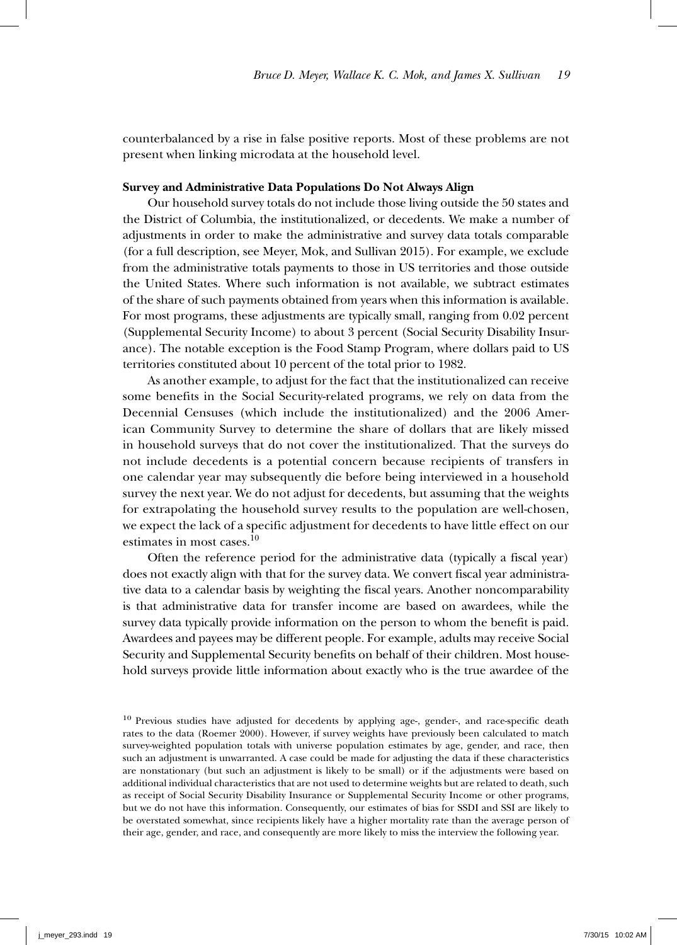counterbalanced by a rise in false positive reports. Most of these problems are not present when linking microdata at the household level.

### **Survey and Administrative Data Populations Do Not Always Align**

Our household survey totals do not include those living outside the 50 states and the District of Columbia, the institutionalized, or decedents. We make a number of adjustments in order to make the administrative and survey data totals comparable (for a full description, see Meyer, Mok, and Sullivan 2015). For example, we exclude from the administrative totals payments to those in US territories and those outside the United States. Where such information is not available, we subtract estimates of the share of such payments obtained from years when this information is available. For most programs, these adjustments are typically small, ranging from 0.02 percent (Supplemental Security Income) to about 3 percent (Social Security Disability Insurance). The notable exception is the Food Stamp Program, where dollars paid to US territories constituted about 10 percent of the total prior to 1982.

As another example, to adjust for the fact that the institutionalized can receive some benefits in the Social Security-related programs, we rely on data from the Decennial Censuses (which include the institutionalized) and the 2006 American Community Survey to determine the share of dollars that are likely missed in household surveys that do not cover the institutionalized. That the surveys do not include decedents is a potential concern because recipients of transfers in one calendar year may subsequently die before being interviewed in a household survey the next year. We do not adjust for decedents, but assuming that the weights for extrapolating the household survey results to the population are well-chosen, we expect the lack of a specific adjustment for decedents to have little effect on our estimates in most cases.<sup>10</sup>

Often the reference period for the administrative data (typically a fiscal year) does not exactly align with that for the survey data. We convert fiscal year administrative data to a calendar basis by weighting the fiscal years. Another noncomparability is that administrative data for transfer income are based on awardees, while the survey data typically provide information on the person to whom the benefit is paid. Awardees and payees may be different people. For example, adults may receive Social Security and Supplemental Security benefits on behalf of their children. Most household surveys provide little information about exactly who is the true awardee of the

<sup>&</sup>lt;sup>10</sup> Previous studies have adjusted for decedents by applying age-, gender-, and race-specific death rates to the data (Roemer 2000). However, if survey weights have previously been calculated to match survey-weighted population totals with universe population estimates by age, gender, and race, then such an adjustment is unwarranted. A case could be made for adjusting the data if these characteristics are nonstationary (but such an adjustment is likely to be small) or if the adjustments were based on additional individual characteristics that are not used to determine weights but are related to death, such as receipt of Social Security Disability Insurance or Supplemental Security Income or other programs, but we do not have this information. Consequently, our estimates of bias for SSDI and SSI are likely to be overstated somewhat, since recipients likely have a higher mortality rate than the average person of their age, gender, and race, and consequently are more likely to miss the interview the following year.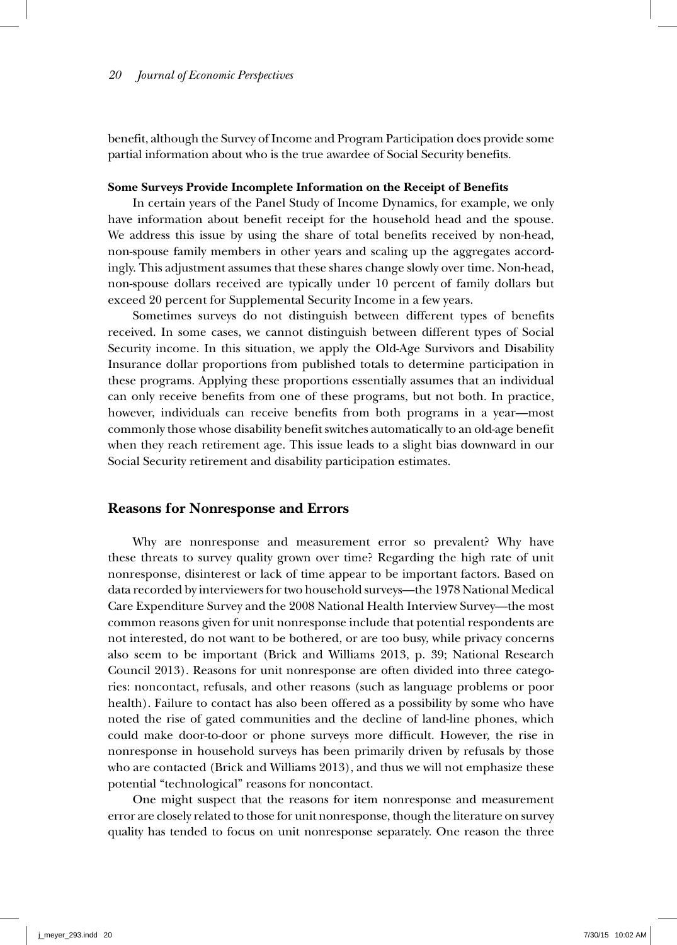benefit, although the Survey of Income and Program Participation does provide some partial information about who is the true awardee of Social Security benefits.

#### **Some Surveys Provide Incomplete Information on the Receipt of Benefits**

In certain years of the Panel Study of Income Dynamics, for example, we only have information about benefit receipt for the household head and the spouse. We address this issue by using the share of total benefits received by non-head, non-spouse family members in other years and scaling up the aggregates accordingly. This adjustment assumes that these shares change slowly over time. Non-head, non-spouse dollars received are typically under 10 percent of family dollars but exceed 20 percent for Supplemental Security Income in a few years.

Sometimes surveys do not distinguish between different types of benefits received. In some cases, we cannot distinguish between different types of Social Security income. In this situation, we apply the Old-Age Survivors and Disability Insurance dollar proportions from published totals to determine participation in these programs. Applying these proportions essentially assumes that an individual can only receive benefits from one of these programs, but not both. In practice, however, individuals can receive benefits from both programs in a year—most commonly those whose disability benefit switches automatically to an old-age benefit when they reach retirement age. This issue leads to a slight bias downward in our Social Security retirement and disability participation estimates.

### **Reasons for Nonresponse and Errors**

Why are nonresponse and measurement error so prevalent? Why have these threats to survey quality grown over time? Regarding the high rate of unit nonresponse, disinterest or lack of time appear to be important factors. Based on data recorded by interviewers for two household surveys—the 1978 National Medical Care Expenditure Survey and the 2008 National Health Interview Survey—the most common reasons given for unit nonresponse include that potential respondents are not interested, do not want to be bothered, or are too busy, while privacy concerns also seem to be important (Brick and Williams 2013, p. 39; National Research Council 2013). Reasons for unit nonresponse are often divided into three categories: noncontact, refusals, and other reasons (such as language problems or poor health). Failure to contact has also been offered as a possibility by some who have noted the rise of gated communities and the decline of land-line phones, which could make door-to-door or phone surveys more difficult. However, the rise in nonresponse in household surveys has been primarily driven by refusals by those who are contacted (Brick and Williams 2013), and thus we will not emphasize these potential "technological" reasons for noncontact.

One might suspect that the reasons for item nonresponse and measurement error are closely related to those for unit nonresponse, though the literature on survey quality has tended to focus on unit nonresponse separately. One reason the three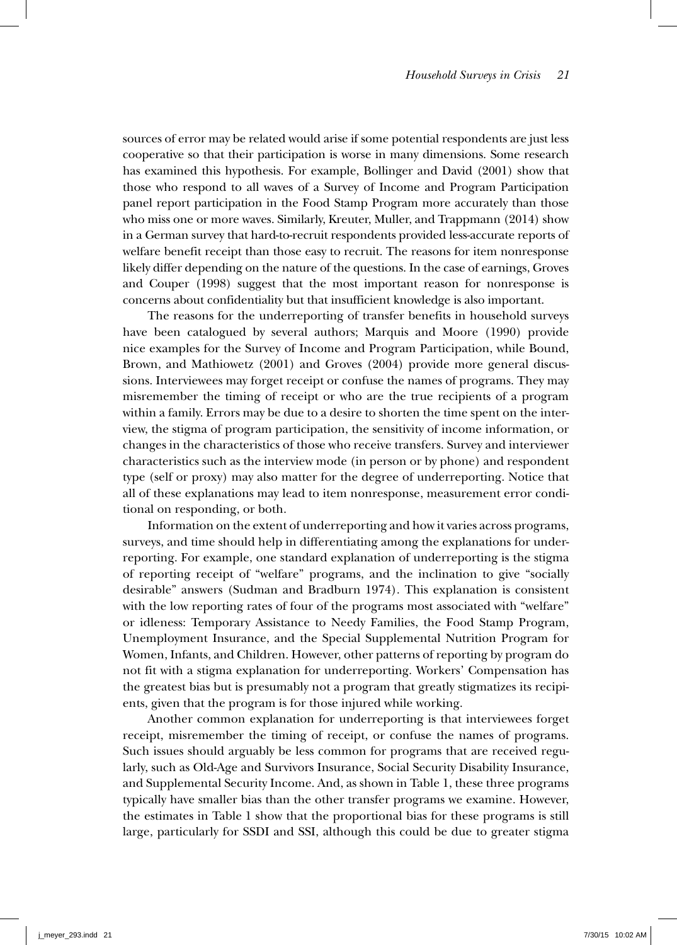sources of error may be related would arise if some potential respondents are just less cooperative so that their participation is worse in many dimensions. Some research has examined this hypothesis. For example, Bollinger and David (2001) show that those who respond to all waves of a Survey of Income and Program Participation panel report participation in the Food Stamp Program more accurately than those who miss one or more waves. Similarly, Kreuter, Muller, and Trappmann (2014) show in a German survey that hard-to-recruit respondents provided less-accurate reports of welfare benefit receipt than those easy to recruit. The reasons for item nonresponse likely differ depending on the nature of the questions. In the case of earnings, Groves and Couper (1998) suggest that the most important reason for nonresponse is concerns about confidentiality but that insufficient knowledge is also important.

The reasons for the underreporting of transfer benefits in household surveys have been catalogued by several authors; Marquis and Moore (1990) provide nice examples for the Survey of Income and Program Participation, while Bound, Brown, and Mathiowetz (2001) and Groves (2004) provide more general discussions. Interviewees may forget receipt or confuse the names of programs. They may misremember the timing of receipt or who are the true recipients of a program within a family. Errors may be due to a desire to shorten the time spent on the interview, the stigma of program participation, the sensitivity of income information, or changes in the characteristics of those who receive transfers. Survey and interviewer characteristics such as the interview mode (in person or by phone) and respondent type (self or proxy) may also matter for the degree of underreporting. Notice that all of these explanations may lead to item nonresponse, measurement error conditional on responding, or both.

Information on the extent of underreporting and how it varies across programs, surveys, and time should help in differentiating among the explanations for underreporting. For example, one standard explanation of underreporting is the stigma of reporting receipt of "welfare" programs, and the inclination to give "socially desirable" answers (Sudman and Bradburn 1974). This explanation is consistent with the low reporting rates of four of the programs most associated with "welfare" or idleness: Temporary Assistance to Needy Families, the Food Stamp Program, Unemployment Insurance, and the Special Supplemental Nutrition Program for Women, Infants, and Children. However, other patterns of reporting by program do not fit with a stigma explanation for underreporting. Workers' Compensation has the greatest bias but is presumably not a program that greatly stigmatizes its recipients, given that the program is for those injured while working.

Another common explanation for underreporting is that interviewees forget receipt, misremember the timing of receipt, or confuse the names of programs. Such issues should arguably be less common for programs that are received regularly, such as Old-Age and Survivors Insurance, Social Security Disability Insurance, and Supplemental Security Income. And, as shown in Table 1, these three programs typically have smaller bias than the other transfer programs we examine. However, the estimates in Table 1 show that the proportional bias for these programs is still large, particularly for SSDI and SSI, although this could be due to greater stigma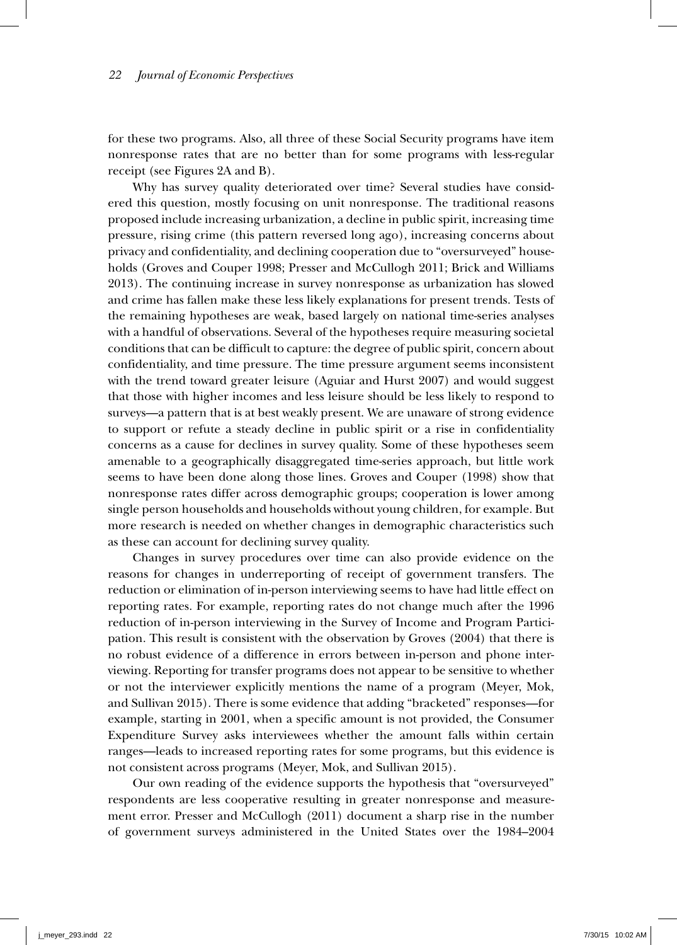for these two programs. Also, all three of these Social Security programs have item nonresponse rates that are no better than for some programs with less-regular receipt (see Figures 2A and B).

Why has survey quality deteriorated over time? Several studies have considered this question, mostly focusing on unit nonresponse. The traditional reasons proposed include increasing urbanization, a decline in public spirit, increasing time pressure, rising crime (this pattern reversed long ago), increasing concerns about privacy and confidentiality, and declining cooperation due to "oversurveyed" households (Groves and Couper 1998; Presser and McCullogh 2011; Brick and Williams 2013). The continuing increase in survey nonresponse as urbanization has slowed and crime has fallen make these less likely explanations for present trends. Tests of the remaining hypotheses are weak, based largely on national time-series analyses with a handful of observations. Several of the hypotheses require measuring societal conditions that can be difficult to capture: the degree of public spirit, concern about confidentiality, and time pressure. The time pressure argument seems inconsistent with the trend toward greater leisure (Aguiar and Hurst 2007) and would suggest that those with higher incomes and less leisure should be less likely to respond to surveys—a pattern that is at best weakly present. We are unaware of strong evidence to support or refute a steady decline in public spirit or a rise in confidentiality concerns as a cause for declines in survey quality. Some of these hypotheses seem amenable to a geographically disaggregated time-series approach, but little work seems to have been done along those lines. Groves and Couper (1998) show that nonresponse rates differ across demographic groups; cooperation is lower among single person households and households without young children, for example. But more research is needed on whether changes in demographic characteristics such as these can account for declining survey quality.

Changes in survey procedures over time can also provide evidence on the reasons for changes in underreporting of receipt of government transfers. The reduction or elimination of in-person interviewing seems to have had little effect on reporting rates. For example, reporting rates do not change much after the 1996 reduction of in-person interviewing in the Survey of Income and Program Participation. This result is consistent with the observation by Groves (2004) that there is no robust evidence of a difference in errors between in-person and phone interviewing. Reporting for transfer programs does not appear to be sensitive to whether or not the interviewer explicitly mentions the name of a program (Meyer, Mok, and Sullivan 2015). There is some evidence that adding "bracketed" responses—for example, starting in 2001, when a specific amount is not provided, the Consumer Expenditure Survey asks interviewees whether the amount falls within certain ranges—leads to increased reporting rates for some programs, but this evidence is not consistent across programs (Meyer, Mok, and Sullivan 2015).

Our own reading of the evidence supports the hypothesis that "oversurveyed" respondents are less cooperative resulting in greater nonresponse and measurement error. Presser and McCullogh (2011) document a sharp rise in the number of government surveys administered in the United States over the 1984–2004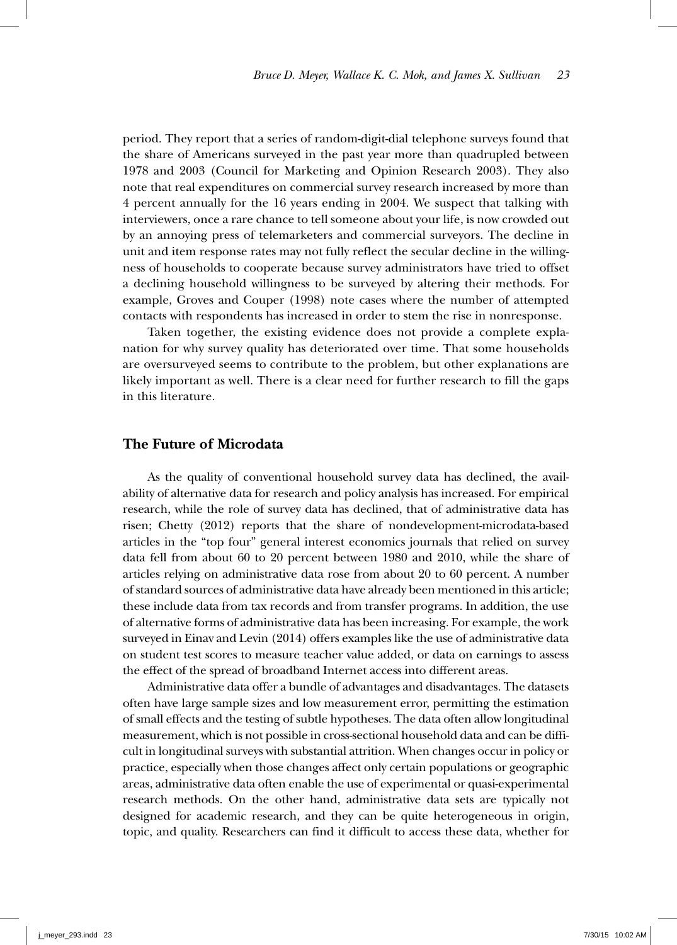period. They report that a series of random-digit-dial telephone surveys found that the share of Americans surveyed in the past year more than quadrupled between 1978 and 2003 (Council for Marketing and Opinion Research 2003). They also note that real expenditures on commercial survey research increased by more than 4 percent annually for the 16 years ending in 2004. We suspect that talking with interviewers, once a rare chance to tell someone about your life, is now crowded out by an annoying press of telemarketers and commercial surveyors. The decline in unit and item response rates may not fully reflect the secular decline in the willingness of households to cooperate because survey administrators have tried to offset a declining household willingness to be surveyed by altering their methods. For example, Groves and Couper (1998) note cases where the number of attempted contacts with respondents has increased in order to stem the rise in nonresponse.

Taken together, the existing evidence does not provide a complete explanation for why survey quality has deteriorated over time. That some households are oversurveyed seems to contribute to the problem, but other explanations are likely important as well. There is a clear need for further research to fill the gaps in this literature.

# **The Future of Microdata**

As the quality of conventional household survey data has declined, the availability of alternative data for research and policy analysis has increased. For empirical research, while the role of survey data has declined, that of administrative data has risen; Chetty (2012) reports that the share of nondevelopment-microdata-based articles in the "top four" general interest economics journals that relied on survey data fell from about 60 to 20 percent between 1980 and 2010, while the share of articles relying on administrative data rose from about 20 to 60 percent. A number of standard sources of administrative data have already been mentioned in this article; these include data from tax records and from transfer programs. In addition, the use of alternative forms of administrative data has been increasing. For example, the work surveyed in Einav and Levin (2014) offers examples like the use of administrative data on student test scores to measure teacher value added, or data on earnings to assess the effect of the spread of broadband Internet access into different areas.

Administrative data offer a bundle of advantages and disadvantages. The datasets often have large sample sizes and low measurement error, permitting the estimation of small effects and the testing of subtle hypotheses. The data often allow longitudinal measurement, which is not possible in cross-sectional household data and can be difficult in longitudinal surveys with substantial attrition. When changes occur in policy or practice, especially when those changes affect only certain populations or geographic areas, administrative data often enable the use of experimental or quasi-experimental research methods. On the other hand, administrative data sets are typically not designed for academic research, and they can be quite heterogeneous in origin, topic, and quality. Researchers can find it difficult to access these data, whether for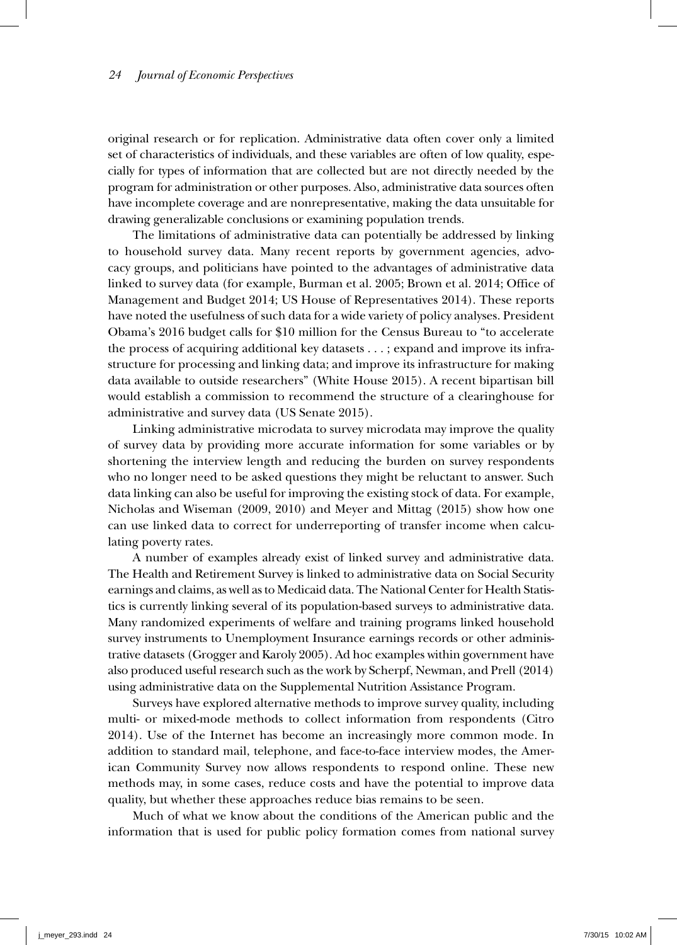original research or for replication. Administrative data often cover only a limited set of characteristics of individuals, and these variables are often of low quality, especially for types of information that are collected but are not directly needed by the program for administration or other purposes. Also, administrative data sources often have incomplete coverage and are nonrepresentative, making the data unsuitable for drawing generalizable conclusions or examining population trends.

The limitations of administrative data can potentially be addressed by linking to household survey data. Many recent reports by government agencies, advocacy groups, and politicians have pointed to the advantages of administrative data linked to survey data (for example, Burman et al. 2005; Brown et al. 2014; Office of Management and Budget 2014; US House of Representatives 2014). These reports have noted the usefulness of such data for a wide variety of policy analyses. President Obama's 2016 budget calls for \$10 million for the Census Bureau to "to accelerate the process of acquiring additional key datasets . . . ; expand and improve its infrastructure for processing and linking data; and improve its infrastructure for making data available to outside researchers" (White House 2015). A recent bipartisan bill would establish a commission to recommend the structure of a clearinghouse for administrative and survey data (US Senate 2015).

Linking administrative microdata to survey microdata may improve the quality of survey data by providing more accurate information for some variables or by shortening the interview length and reducing the burden on survey respondents who no longer need to be asked questions they might be reluctant to answer. Such data linking can also be useful for improving the existing stock of data. For example, Nicholas and Wiseman (2009, 2010) and Meyer and Mittag (2015) show how one can use linked data to correct for underreporting of transfer income when calculating poverty rates.

A number of examples already exist of linked survey and administrative data. The Health and Retirement Survey is linked to administrative data on Social Security earnings and claims, as well as to Medicaid data. The National Center for Health Statistics is currently linking several of its population-based surveys to administrative data. Many randomized experiments of welfare and training programs linked household survey instruments to Unemployment Insurance earnings records or other administrative datasets (Grogger and Karoly 2005). Ad hoc examples within government have also produced useful research such as the work by Scherpf, Newman, and Prell (2014) using administrative data on the Supplemental Nutrition Assistance Program.

Surveys have explored alternative methods to improve survey quality, including multi- or mixed-mode methods to collect information from respondents (Citro 2014). Use of the Internet has become an increasingly more common mode. In addition to standard mail, telephone, and face-to-face interview modes, the American Community Survey now allows respondents to respond online. These new methods may, in some cases, reduce costs and have the potential to improve data quality, but whether these approaches reduce bias remains to be seen.

Much of what we know about the conditions of the American public and the information that is used for public policy formation comes from national survey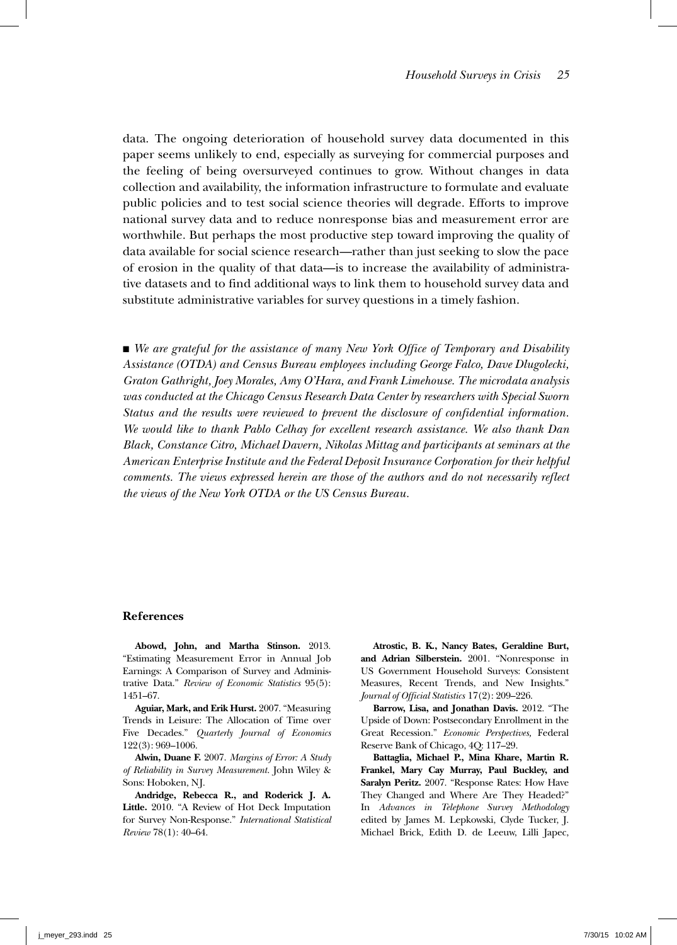data. The ongoing deterioration of household survey data documented in this paper seems unlikely to end, especially as surveying for commercial purposes and the feeling of being oversurveyed continues to grow. Without changes in data collection and availability, the information infrastructure to formulate and evaluate public policies and to test social science theories will degrade. Efforts to improve national survey data and to reduce nonresponse bias and measurement error are worthwhile. But perhaps the most productive step toward improving the quality of data available for social science research—rather than just seeking to slow the pace of erosion in the quality of that data—is to increase the availability of administrative datasets and to find additional ways to link them to household survey data and substitute administrative variables for survey questions in a timely fashion.

■ We are grateful for the assistance of many New York Office of Temporary and Disability *Assistance (OTDA) and Census Bureau employees including George Falco, Dave Dlugolecki, Graton Gathright, Joey Morales, Amy O'Hara, and Frank Limehouse. The microdata analysis was conducted at the Chicago Census Research Data Center by researchers with Special Sworn Status and the results were reviewed to prevent the disclosure of confidential information. We would like to thank Pablo Celhay for excellent research assistance. We also thank Dan Black, Constance Citro, Michael Davern, Nikolas Mittag and participants at seminars at the American Enterprise Institute and the Federal Deposit Insurance Corporation for their helpful comments. The views expressed herein are those of the authors and do not necessarily reflect the views of the New York OTDA or the US Census Bureau.*

#### **References**

**Abowd, John, and Martha Stinson.** 2013. "Estimating Measurement Error in Annual Job Earnings: A Comparison of Survey and Administrative Data." *Review of Economic Statistics* 95(5): 1451–67.

**Aguiar, Mark, and Erik Hurst.** 2007. "Measuring Trends in Leisure: The Allocation of Time over Five Decades." *Quarterly Journal of Economics*  122(3): 969–1006.

**Alwin, Duane F.** 2007. *Margins of Error: A Study of Reliability in Survey Measurement*. John Wiley & Sons: Hoboken, NJ.

**Andridge, Rebecca R., and Roderick J. A. Little.** 2010. "A Review of Hot Deck Imputation for Survey Non‐Response." *International Statistical Review* 78(1): 40–64.

**Atrostic, B. K., Nancy Bates, Geraldine Burt, and Adrian Silberstein.** 2001. "Nonresponse in US Government Household Surveys: Consistent Measures, Recent Trends, and New Insights." *Journal of Official Statistics* 17(2): 209–226.

**Barrow, Lisa, and Jonathan Davis.** 2012. "The Upside of Down: Postsecondary Enrollment in the Great Recession." *Economic Perspectives,* Federal Reserve Bank of Chicago, 4Q: 117–29.

**Battaglia, Michael P., Mina Khare, Martin R. Frankel, Mary Cay Murray, Paul Buckley, and Saralyn Peritz.** 2007. "Response Rates: How Have They Changed and Where Are They Headed?" In *Advances in Telephone Survey Methodology* edited by James M. Lepkowski, Clyde Tucker, J. Michael Brick, Edith D. de Leeuw, Lilli Japec,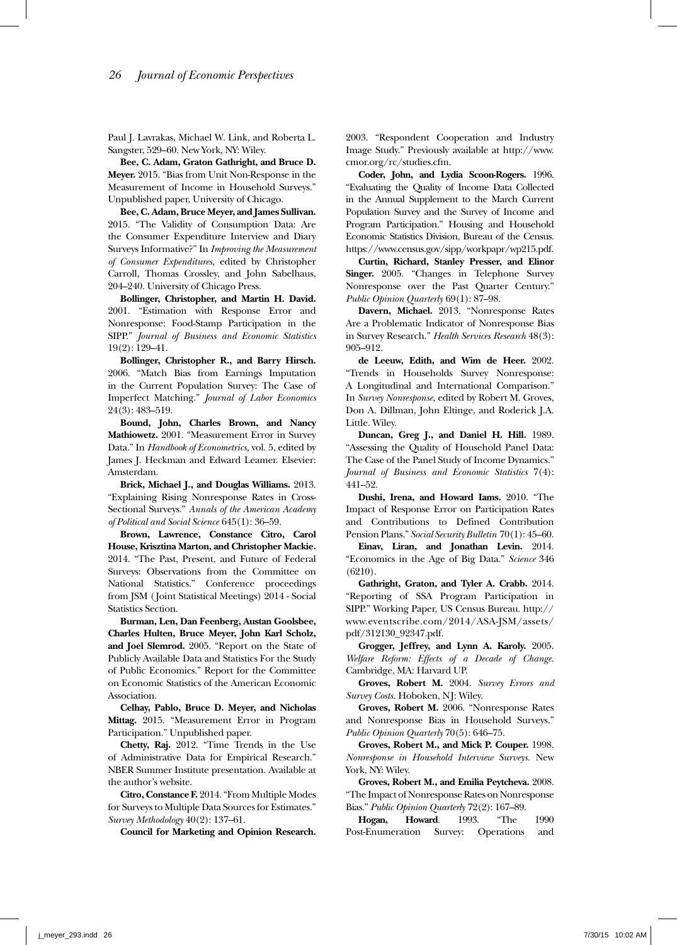Paul J. Lavrakas, Michael W. Link, and Roberta L. Sangster, 529–60. New York, NY: Wiley.

**Bee, C. Adam, Graton Gathright, and Bruce D. Meyer.** 2015. "Bias from Unit Non-Response in the Measurement of Income in Household Surveys." Unpublished paper, University of Chicago.

**Bee, C. Adam, Bruce Meyer, and James Sullivan.** 2015. "The Validity of Consumption Data: Are the Consumer Expenditure Interview and Diary Surveys Informative?" In *Improving the Measurement of Consumer Expenditures*, edited by Christopher Carroll, Thomas Crossley, and John Sabelhaus, 204–240. University of Chicago Press.

**Bollinger, Christopher, and Martin H. David.** 2001. "Estimation with Response Error and Nonresponse: Food-Stamp Participation in the SIPP." *Journal of Business and Economic Statistics* 19(2): 129–41.

**Bollinger, Christopher R., and Barry Hirsch.** 2006. "Match Bias from Earnings Imputation in the Current Population Survey: The Case of Imperfect Matching." *Journal of Labor Economics* 24(3): 483–519.

**Bound, John, Charles Brown, and Nancy Mathiowetz.** 2001. "Measurement Error in Survey Data." In *Handbook of Econometrics,* vol. 5, edited by James J. Heckman and Edward Leamer. Elsevier: Amsterdam.

**Brick, Michael J., and Douglas Williams.** 2013. "Explaining Rising Nonresponse Rates in Cross-Sectional Surveys." *Annals of the American Academy of Political and Social Science* 645(1): 36–59.

**Brown, Lawrence, Constance Citro, Carol House, Krisztina Marton, and Christopher Mackie.** 2014. "The Past, Present, and Future of Federal Surveys: Observations from the Committee on National Statistics." Conference proceedings from JSM ( Joint Statistical Meetings) 2014 - Social Statistics Section.

**Burman, Len, Dan Feenberg, Austan Goolsbee, Charles Hulten, Bruce Meyer, John Karl Scholz, and Joel Slemrod.** 2005. "Report on the State of Publicly Available Data and Statistics For the Study of Public Economics." Report for the Committee on Economic Statistics of the American Economic Association.

**Celhay, Pablo, Bruce D. Meyer, and Nicholas Mittag.** 2015. "Measurement Error in Program Participation." Unpublished paper.

**Chetty, Raj.** 2012. "Time Trends in the Use of Administrative Data for Empirical Research." NBER Summer Institute presentation. Available at the author's website.

**Citro, Constance F.** 2014. "From Multiple Modes for Surveys to Multiple Data Sources for Estimates." *Survey Methodology* 40(2): 137–61.

**Council for Marketing and Opinion Research.**

2003. "Respondent Cooperation and Industry Image Study." Previously available at http://www. cmor.org/rc/studies.cfm.

**Coder, John, and Lydia Scoon-Rogers.** 1996. "Evaluating the Quality of Income Data Collected in the Annual Supplement to the March Current Population Survey and the Survey of Income and Program Participation." Housing and Household Economic Statistics Division, Bureau of the Census. https://www.census.gov/sipp/workpapr/wp215.pdf.

**Curtin, Richard, Stanley Presser, and Elinor Singer.** 2005. "Changes in Telephone Survey Nonresponse over the Past Quarter Century." *Public Opinion Quarterly* 69(1): 87–98.

**Davern, Michael.** 2013. "Nonresponse Rates Are a Problematic Indicator of Nonresponse Bias in Survey Research." *Health Services Research* 48(3): 905–912.

**de Leeuw, Edith, and Wim de Heer.** 2002. "Trends in Households Survey Nonresponse: A Longitudinal and International Comparison." In *Survey Nonresponse*, edited by Robert M. Groves, Don A. Dillman, John Eltinge, and Roderick J.A. Little. Wiley.

**Duncan, Greg J., and Daniel H. Hill.** 1989. "Assessing the Quality of Household Panel Data: The Case of the Panel Study of Income Dynamics." *Journal of Business and Economic Statistics* 7(4): 441–52.

**Dushi, Irena, and Howard Iams.** 2010. "The Impact of Response Error on Participation Rates and Contributions to Defined Contribution Pension Plans." *Social Security Bulletin* 70(1): 45–60.

**Einav, Liran, and Jonathan Levin.** 2014. "Economics in the Age of Big Data." *Science* 346 (6210).

**Gathright, Graton, and Tyler A. Crabb.** 2014. "Reporting of SSA Program Participation in SIPP." Working Paper, US Census Bureau. http:// www.eventscribe.com/2014/ASA-JSM/assets/ pdf/312130\_92347.pdf.

**Grogger, Jeffrey, and Lynn A. Karoly.** 2005. *Welfare Reform: Effects of a Decade of Change.* Cambridge, MA: Harvard UP.

**Groves, Robert M.** 2004. *Survey Errors and Survey Costs.* Hoboken, NJ: Wiley.

**Groves, Robert M.** 2006. "Nonresponse Rates and Nonresponse Bias in Household Surveys." *Public Opinion Quarterly* 70(5): 646–75.

**Groves, Robert M., and Mick P. Couper.** 1998. *Nonresponse in Household Interview Surveys.* New York, NY: Wiley.

**Groves, Robert M., and Emilia Peytcheva.** 2008. "The Impact of Nonresponse Rates on Nonresponse Bias." *Public Opinion Quarterly* 72(2): 167–89.

**Hogan, Howard**. 1993. "The 1990 Post-Enumeration Survey: Operations and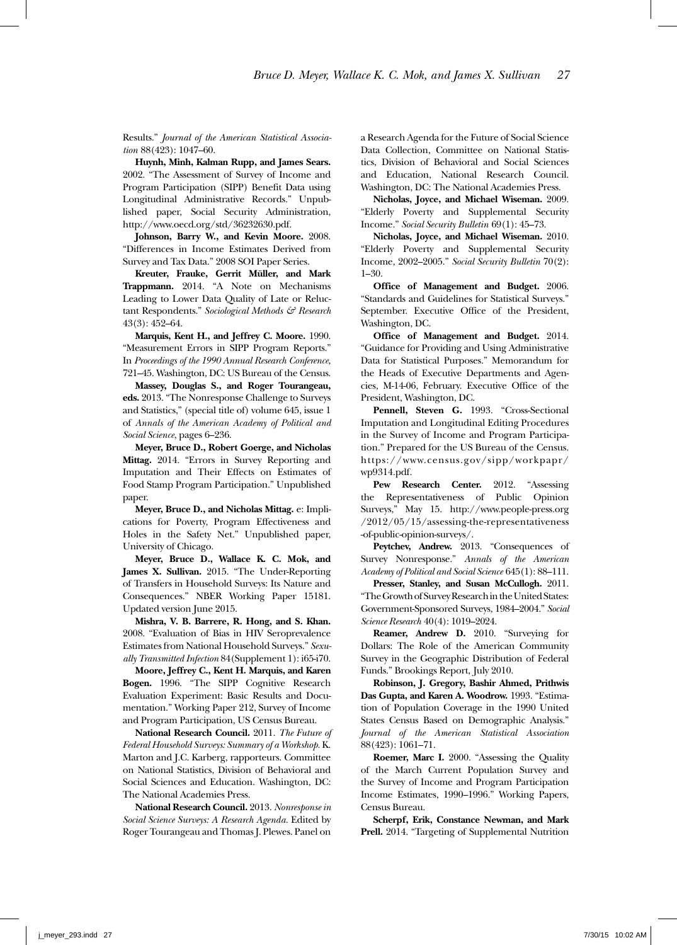Results." *Journal of the American Statistical Association* 88(423): 1047–60.

**Huynh, Minh, Kalman Rupp, and James Sears.** 2002. "The Assessment of Survey of Income and Program Participation (SIPP) Benefit Data using Longitudinal Administrative Records." Unpublished paper, Social Security Administration, http://www.oecd.org/std/36232630.pdf.

**Johnson, Barry W., and Kevin Moore.** 2008. "Differences in Income Estimates Derived from Survey and Tax Data." 2008 SOI Paper Series.

**Kreuter, Frauke, Gerrit Müller, and Mark Trappmann.** 2014. "A Note on Mechanisms Leading to Lower Data Quality of Late or Reluctant Respondents." *Sociological Methods & Research* 43(3): 452–64.

**Marquis, Kent H., and Jeffrey C. Moore.** 1990. "Measurement Errors in SIPP Program Reports." In *Proceedings of the 1990 Annual Research Conference*, 721–45. Washington, DC: US Bureau of the Census.

**Massey, Douglas S., and Roger Tourangeau, eds.** 2013. "The Nonresponse Challenge to Surveys and Statistics," (special title of) volume 645, issue 1 of *Annals of the American Academy of Political and Social Science*, pages 6–236.

**Meyer, Bruce D., Robert Goerge, and Nicholas Mittag.** 2014. "Errors in Survey Reporting and Imputation and Their Effects on Estimates of Food Stamp Program Participation." Unpublished paper.

**Meyer, Bruce D., and Nicholas Mittag.** e: Implications for Poverty, Program Effectiveness and Holes in the Safety Net." Unpublished paper, University of Chicago.

**Meyer, Bruce D., Wallace K. C. Mok, and James X. Sullivan.** 2015. "The Under-Reporting of Transfers in Household Surveys: Its Nature and Consequences." NBER Working Paper 15181. Updated version June 2015.

**Mishra, V. B. Barrere, R. Hong, and S. Khan.** 2008. "Evaluation of Bias in HIV Seroprevalence Estimates from National Household Surveys." *Sexually Transmitted Infection* 84(Supplement 1): i65-i70.

**Moore, Jeffrey C., Kent H. Marquis, and Karen Bogen.** 1996. "The SIPP Cognitive Research Evaluation Experiment: Basic Results and Documentation." Working Paper 212, Survey of Income and Program Participation, US Census Bureau.

**National Research Council.** 2011. *The Future of Federal Household Surveys: Summary of a Workshop.* K. Marton and J.C. Karberg, rapporteurs. Committee on National Statistics, Division of Behavioral and Social Sciences and Education. Washington, DC: The National Academies Press.

**National Research Council.** 2013. *Nonresponse in Social Science Surveys: A Research Agenda.* Edited by Roger Tourangeau and Thomas J. Plewes. Panel on a Research Agenda for the Future of Social Science Data Collection, Committee on National Statistics, Division of Behavioral and Social Sciences and Education, National Research Council. Washington, DC: The National Academies Press.

**Nicholas, Joyce, and Michael Wiseman.** 2009. "Elderly Poverty and Supplemental Security Income." *Social Security Bulletin* 69(1): 45–73.

**Nicholas, Joyce, and Michael Wiseman.** 2010. "Elderly Poverty and Supplemental Security Income, 2002–2005." *Social Security Bulletin* 70(2): 1–30.

**Office of Management and Budget.** 2006. "Standards and Guidelines for Statistical Surveys." September. Executive Office of the President, Washington, DC.

**Office of Management and Budget.** 2014. "Guidance for Providing and Using Administrative Data for Statistical Purposes." Memorandum for the Heads of Executive Departments and Agencies, M-14-06, February. Executive Office of the President, Washington, DC.

**Pennell, Steven G.** 1993. "Cross-Sectional Imputation and Longitudinal Editing Procedures in the Survey of Income and Program Participation." Prepared for the US Bureau of the Census. https://www.census.gov/sipp/workpapr/ wp9314.pdf.

Pew Research Center. 2012. "Assessing the Representativeness of Public Opinion Surveys," May 15. http://www.people-press.org /2012/05/15/assessing-the-representativeness -of-public-opinion-surveys/.

**Peytchev, Andrew.** 2013. "Consequences of Survey Nonresponse." *Annals of the American Academy of Political and Social Science* 645(1): 88–111.

**Presser, Stanley, and Susan McCullogh.** 2011. "The Growth of Survey Research in the United States: Government-Sponsored Surveys, 1984–2004." *Social Science Research* 40(4): 1019–2024.

**Reamer, Andrew D.** 2010. "Surveying for Dollars: The Role of the American Community Survey in the Geographic Distribution of Federal Funds." Brookings Report, July 2010.

**Robinson, J. Gregory, Bashir Ahmed, Prithwis Das Gupta, and Karen A. Woodrow.** 1993. "Estimation of Population Coverage in the 1990 United States Census Based on Demographic Analysis." *Journal of the American Statistical Association* 88(423): 1061–71.

**Roemer, Marc I.** 2000. "Assessing the Quality of the March Current Population Survey and the Survey of Income and Program Participation Income Estimates, 1990–1996." Working Papers, Census Bureau.

**Scherpf, Erik, Constance Newman, and Mark Prell.** 2014. "Targeting of Supplemental Nutrition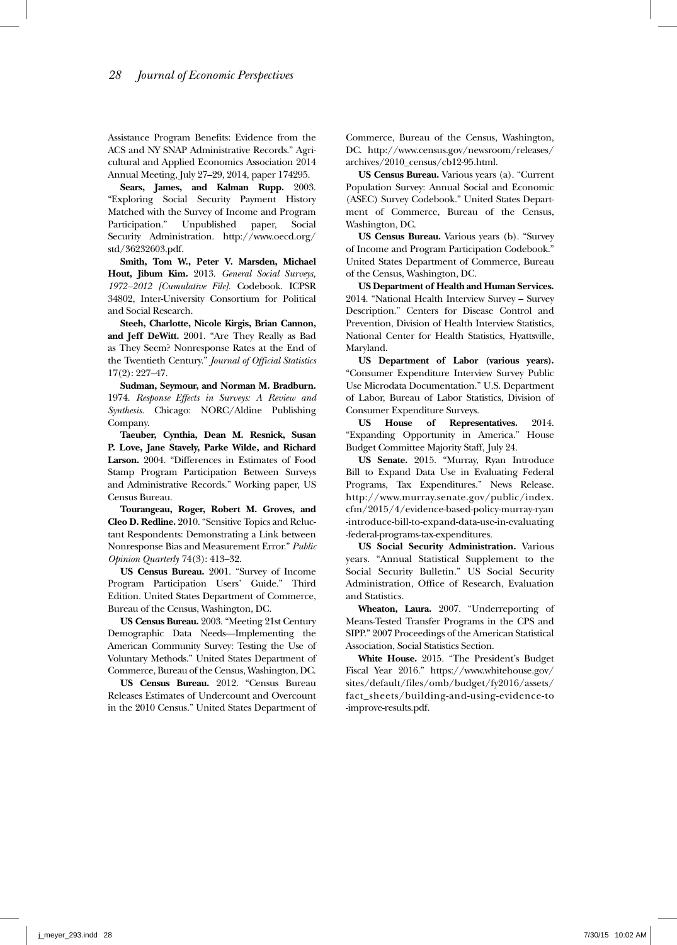Assistance Program Benefits: Evidence from the ACS and NY SNAP Administrative Records." Agricultural and Applied Economics Association 2014 Annual Meeting, July 27–29, 2014, paper 174295.

**Sears, James, and Kalman Rupp.** 2003. "Exploring Social Security Payment History Matched with the Survey of Income and Program Participation." Unpublished paper, Social Security Administration. http://www.oecd.org/ std/36232603.pdf.

**Smith, Tom W., Peter V. Marsden, Michael Hout, Jibum Kim.** 2013. *General Social Surveys, 1972–2012 [Cumulative File].* Codebook. ICPSR 34802, Inter-University Consortium for Political and Social Research.

**Steeh, Charlotte, Nicole Kirgis, Brian Cannon, and Jeff DeWitt.** 2001. "Are They Really as Bad as They Seem? Nonresponse Rates at the End of the Twentieth Century." *Journal of Official Statistics* 17(2): 227–47.

**Sudman, Seymour, and Norman M. Bradburn.** 1974. *Response Effects in Surveys: A Review and Synthesis.* Chicago: NORC/Aldine Publishing Company.

**Taeuber, Cynthia, Dean M. Resnick, Susan P. Love, Jane Stavely, Parke Wilde, and Richard Larson.** 2004. "Differences in Estimates of Food Stamp Program Participation Between Surveys and Administrative Records." Working paper, US Census Bureau.

**Tourangeau, Roger, Robert M. Groves, and Cleo D. Redline.** 2010. "Sensitive Topics and Reluctant Respondents: Demonstrating a Link between Nonresponse Bias and Measurement Error." *Public Opinion Quarterly* 74(3): 413–32.

**US Census Bureau.** 2001. "Survey of Income Program Participation Users' Guide." Third Edition. United States Department of Commerce, Bureau of the Census, Washington, DC.

**US Census Bureau.** 2003. "Meeting 21st Century Demographic Data Needs—Implementing the American Community Survey: Testing the Use of Voluntary Methods." United States Department of Commerce, Bureau of the Census, Washington, DC.

**US Census Bureau.** 2012. "Census Bureau Releases Estimates of Undercount and Overcount in the 2010 Census." United States Department of

Commerce, Bureau of the Census, Washington, DC. http://www.census.gov/newsroom/releases/ archives/2010\_census/cb12-95.html.

**US Census Bureau.** Various years (a). "Current Population Survey: Annual Social and Economic (ASEC) Survey Codebook." United States Department of Commerce, Bureau of the Census, Washington, DC.

**US Census Bureau.** Various years (b). "Survey of Income and Program Participation Codebook." United States Department of Commerce, Bureau of the Census, Washington, DC.

**US Department of Health and Human Services.** 2014. "National Health Interview Survey – Survey Description." Centers for Disease Control and Prevention, Division of Health Interview Statistics, National Center for Health Statistics, Hyattsville, Maryland.

**US Department of Labor (various years).** "Consumer Expenditure Interview Survey Public Use Microdata Documentation." U.S. Department of Labor, Bureau of Labor Statistics, Division of Consumer Expenditure Surveys.

**US House of Representatives.** 2014. "Expanding Opportunity in America." House Budget Committee Majority Staff, July 24.

**US Senate.** 2015. "Murray, Ryan Introduce Bill to Expand Data Use in Evaluating Federal Programs, Tax Expenditures." News Release. http://www.murray.senate.gov/public/index. cfm/2015/4/evidence-based-policy-murray-ryan -introduce-bill-to-expand-data-use-in-evaluating -federal-programs-tax-expenditures.

**US Social Security Administration.** Various years. "Annual Statistical Supplement to the Social Security Bulletin." US Social Security Administration, Office of Research, Evaluation and Statistics.

**Wheaton, Laura.** 2007. "Underreporting of Means-Tested Transfer Programs in the CPS and SIPP." 2007 Proceedings of the American Statistical Association, Social Statistics Section.

**White House.** 2015. "The President's Budget Fiscal Year 2016." https://www.whitehouse.gov/ sites/default/files/omb/budget/fy2016/assets/ fact\_sheets/building-and-using-evidence-to -improve-results.pdf.